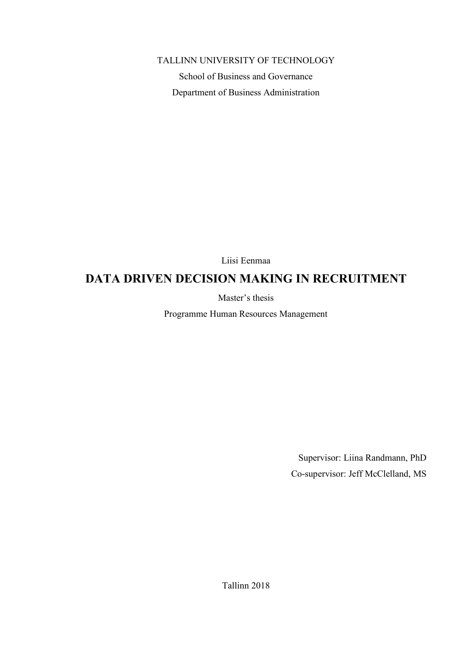## TALLINN UNIVERSITY OF TECHNOLOGY

School of Business and Governance Department of Business Administration

Liisi Eenmaa

# **DATA DRIVEN DECISION MAKING IN RECRUITMENT**

Master's thesis

Programme Human Resources Management

Supervisor: Liina Randmann, PhD Co-supervisor: Jeff McClelland, MS

Tallinn 2018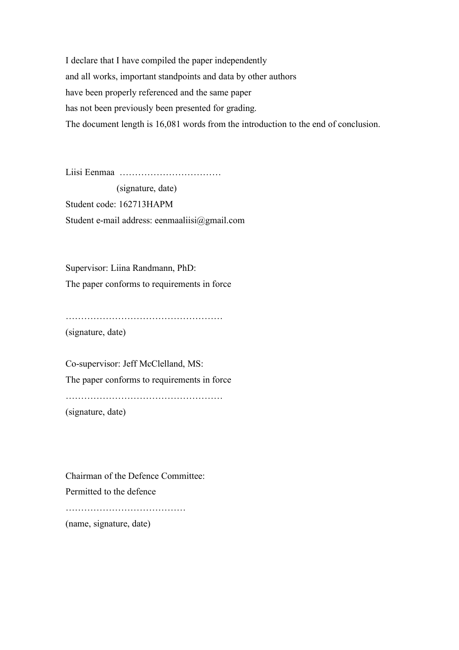I declare that I have compiled the paper independently and all works, important standpoints and data by other authors have been properly referenced and the same paper has not been previously been presented for grading. The document length is 16,081 words from the introduction to the end of conclusion.

Liisi Eenmaa ……………………………

 (signature, date) Student code: 162713HAPM Student e-mail address: eenmaaliisi@gmail.com

Supervisor: Liina Randmann, PhD: The paper conforms to requirements in force

……………………………………………

(signature, date)

Co-supervisor: Jeff McClelland, MS: The paper conforms to requirements in force ……………………………………………

(signature, date)

Chairman of the Defence Committee: Permitted to the defence

…………………………………………

(name, signature, date)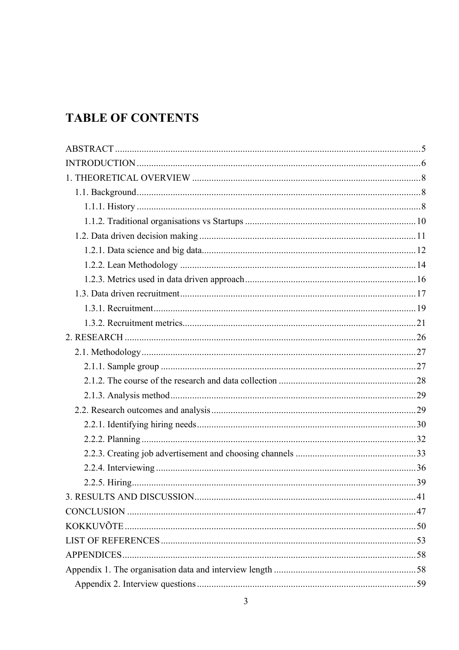# **TABLE OF CONTENTS**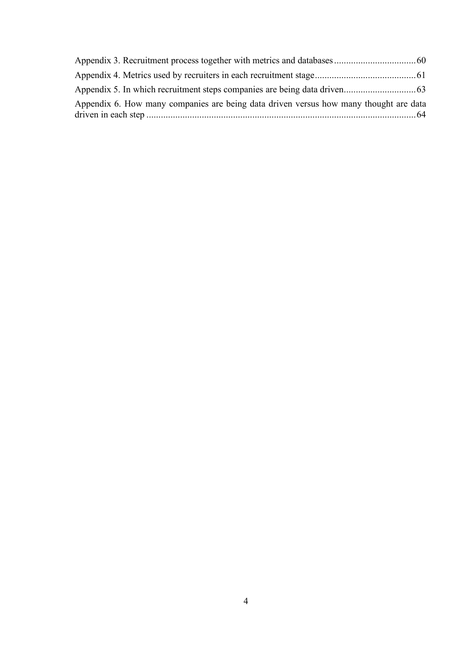| Appendix 6. How many companies are being data driven versus how many thought are data |  |
|---------------------------------------------------------------------------------------|--|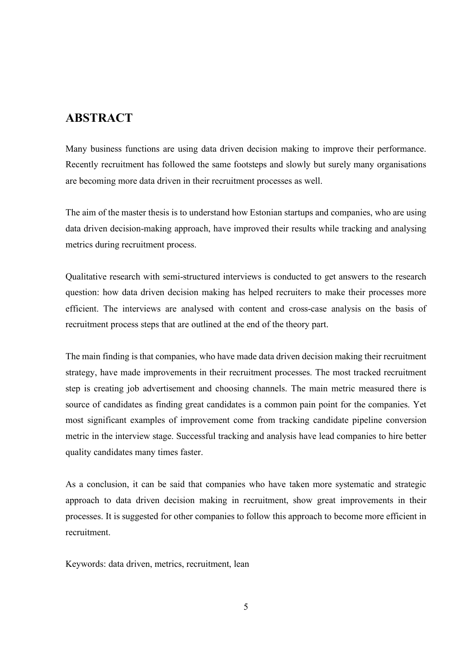## **ABSTRACT**

Many business functions are using data driven decision making to improve their performance. Recently recruitment has followed the same footsteps and slowly but surely many organisations are becoming more data driven in their recruitment processes as well.

The aim of the master thesis is to understand how Estonian startups and companies, who are using data driven decision-making approach, have improved their results while tracking and analysing metrics during recruitment process.

Qualitative research with semi-structured interviews is conducted to get answers to the research question: how data driven decision making has helped recruiters to make their processes more efficient. The interviews are analysed with content and cross-case analysis on the basis of recruitment process steps that are outlined at the end of the theory part.

The main finding is that companies, who have made data driven decision making their recruitment strategy, have made improvements in their recruitment processes. The most tracked recruitment step is creating job advertisement and choosing channels. The main metric measured there is source of candidates as finding great candidates is a common pain point for the companies. Yet most significant examples of improvement come from tracking candidate pipeline conversion metric in the interview stage. Successful tracking and analysis have lead companies to hire better quality candidates many times faster.

As a conclusion, it can be said that companies who have taken more systematic and strategic approach to data driven decision making in recruitment, show great improvements in their processes. It is suggested for other companies to follow this approach to become more efficient in recruitment.

Keywords: data driven, metrics, recruitment, lean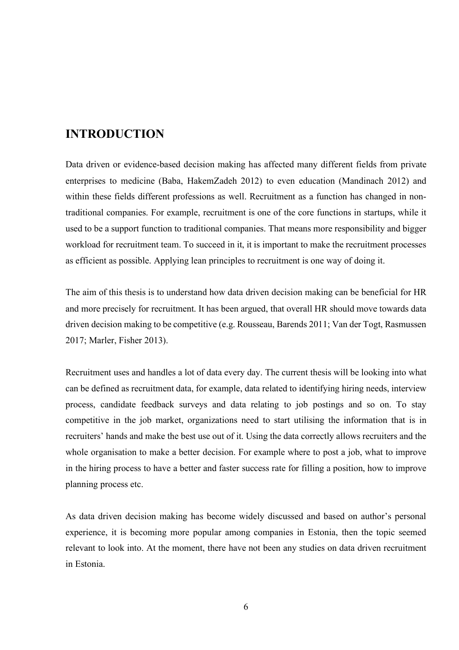# **INTRODUCTION**

Data driven or evidence-based decision making has affected many different fields from private enterprises to medicine (Baba, HakemZadeh 2012) to even education (Mandinach 2012) and within these fields different professions as well. Recruitment as a function has changed in nontraditional companies. For example, recruitment is one of the core functions in startups, while it used to be a support function to traditional companies. That means more responsibility and bigger workload for recruitment team. To succeed in it, it is important to make the recruitment processes as efficient as possible. Applying lean principles to recruitment is one way of doing it.

The aim of this thesis is to understand how data driven decision making can be beneficial for HR and more precisely for recruitment. It has been argued, that overall HR should move towards data driven decision making to be competitive (e.g. Rousseau, Barends 2011; Van der Togt, Rasmussen 2017; Marler, Fisher 2013).

Recruitment uses and handles a lot of data every day. The current thesis will be looking into what can be defined as recruitment data, for example, data related to identifying hiring needs, interview process, candidate feedback surveys and data relating to job postings and so on. To stay competitive in the job market, organizations need to start utilising the information that is in recruiters' hands and make the best use out of it. Using the data correctly allows recruiters and the whole organisation to make a better decision. For example where to post a job, what to improve in the hiring process to have a better and faster success rate for filling a position, how to improve planning process etc.

As data driven decision making has become widely discussed and based on author's personal experience, it is becoming more popular among companies in Estonia, then the topic seemed relevant to look into. At the moment, there have not been any studies on data driven recruitment in Estonia.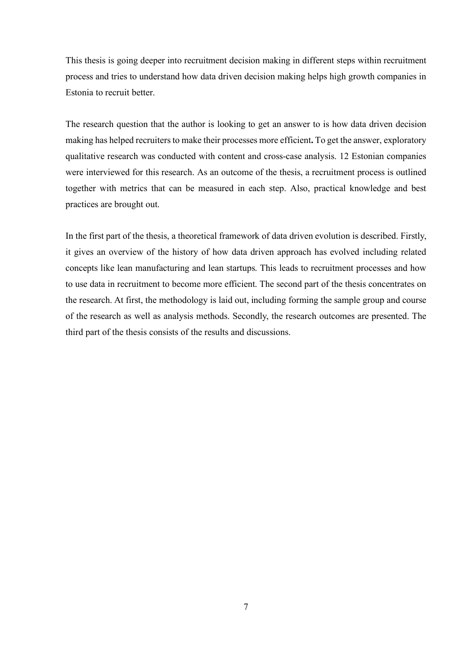This thesis is going deeper into recruitment decision making in different steps within recruitment process and tries to understand how data driven decision making helps high growth companies in Estonia to recruit better.

The research question that the author is looking to get an answer to is how data driven decision making has helped recruiters to make their processes more efficient**.** To get the answer, exploratory qualitative research was conducted with content and cross-case analysis. 12 Estonian companies were interviewed for this research. As an outcome of the thesis, a recruitment process is outlined together with metrics that can be measured in each step. Also, practical knowledge and best practices are brought out.

In the first part of the thesis, a theoretical framework of data driven evolution is described. Firstly, it gives an overview of the history of how data driven approach has evolved including related concepts like lean manufacturing and lean startups. This leads to recruitment processes and how to use data in recruitment to become more efficient. The second part of the thesis concentrates on the research. At first, the methodology is laid out, including forming the sample group and course of the research as well as analysis methods. Secondly, the research outcomes are presented. The third part of the thesis consists of the results and discussions.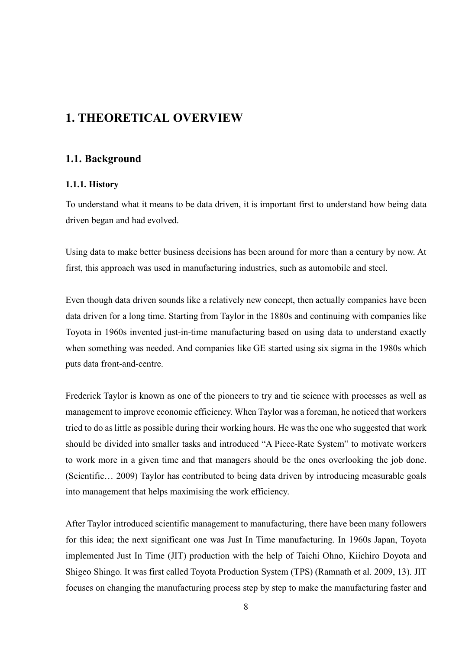# **1. THEORETICAL OVERVIEW**

## **1.1. Background**

## **1.1.1. History**

To understand what it means to be data driven, it is important first to understand how being data driven began and had evolved.

Using data to make better business decisions has been around for more than a century by now. At first, this approach was used in manufacturing industries, such as automobile and steel.

Even though data driven sounds like a relatively new concept, then actually companies have been data driven for a long time. Starting from Taylor in the 1880s and continuing with companies like Toyota in 1960s invented just-in-time manufacturing based on using data to understand exactly when something was needed. And companies like GE started using six sigma in the 1980s which puts data front-and-centre.

Frederick Taylor is known as one of the pioneers to try and tie science with processes as well as management to improve economic efficiency. When Taylor was a foreman, he noticed that workers tried to do as little as possible during their working hours. He was the one who suggested that work should be divided into smaller tasks and introduced "A Piece-Rate System" to motivate workers to work more in a given time and that managers should be the ones overlooking the job done. (Scientific… 2009) Taylor has contributed to being data driven by introducing measurable goals into management that helps maximising the work efficiency.

After Taylor introduced scientific management to manufacturing, there have been many followers for this idea; the next significant one was Just In Time manufacturing. In 1960s Japan, Toyota implemented Just In Time (JIT) production with the help of Taichi Ohno, Kiichiro Doyota and Shigeo Shingo. It was first called Toyota Production System (TPS) (Ramnath et al. 2009, 13). JIT focuses on changing the manufacturing process step by step to make the manufacturing faster and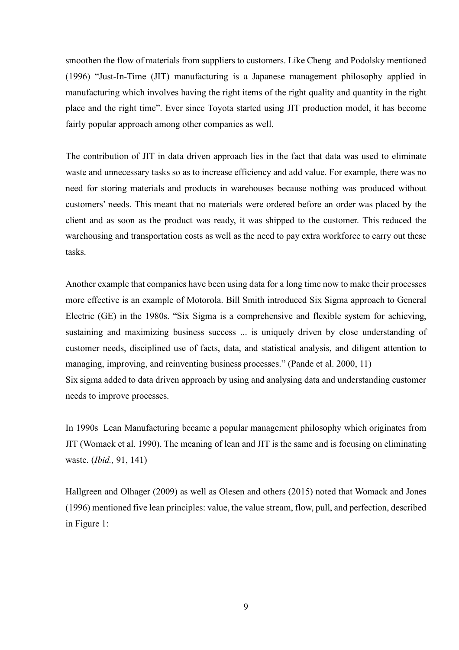smoothen the flow of materials from suppliers to customers. Like Cheng and Podolsky mentioned (1996) "Just-In-Time (JIT) manufacturing is a Japanese management philosophy applied in manufacturing which involves having the right items of the right quality and quantity in the right place and the right time". Ever since Toyota started using JIT production model, it has become fairly popular approach among other companies as well.

The contribution of JIT in data driven approach lies in the fact that data was used to eliminate waste and unnecessary tasks so as to increase efficiency and add value. For example, there was no need for storing materials and products in warehouses because nothing was produced without customers' needs. This meant that no materials were ordered before an order was placed by the client and as soon as the product was ready, it was shipped to the customer. This reduced the warehousing and transportation costs as well as the need to pay extra workforce to carry out these tasks.

Another example that companies have been using data for a long time now to make their processes more effective is an example of Motorola. Bill Smith introduced Six Sigma approach to General Electric (GE) in the 1980s. "Six Sigma is a comprehensive and flexible system for achieving, sustaining and maximizing business success ... is uniquely driven by close understanding of customer needs, disciplined use of facts, data, and statistical analysis, and diligent attention to managing, improving, and reinventing business processes." (Pande et al. 2000, 11) Six sigma added to data driven approach by using and analysing data and understanding customer needs to improve processes.

In 1990s Lean Manufacturing became a popular management philosophy which originates from JIT (Womack et al. 1990). The meaning of lean and JIT is the same and is focusing on eliminating waste. (*Ibid.,* 91, 141)

Hallgreen and Olhager (2009) as well as Olesen and others (2015) noted that Womack and Jones (1996) mentioned five lean principles: value, the value stream, flow, pull, and perfection, described in Figure 1: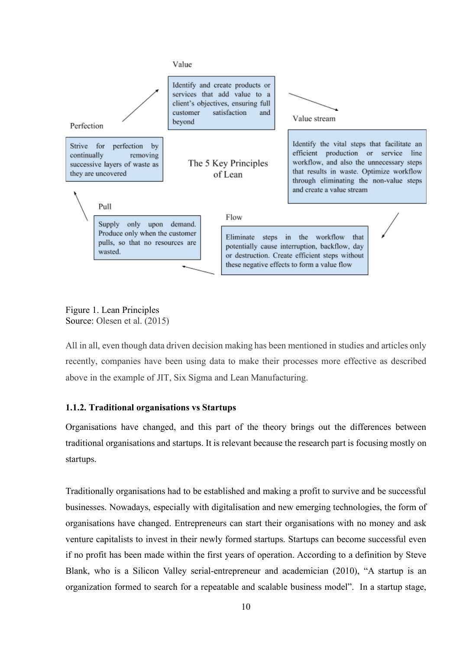

Figure 1. Lean Principles Source: Olesen et al. (2015)

All in all, even though data driven decision making has been mentioned in studies and articles only recently, companies have been using data to make their processes more effective as described above in the example of JIT, Six Sigma and Lean Manufacturing.

## **1.1.2. Traditional organisations vs Startups**

Organisations have changed, and this part of the theory brings out the differences between traditional organisations and startups. It is relevant because the research part is focusing mostly on startups.

Traditionally organisations had to be established and making a profit to survive and be successful businesses. Nowadays, especially with digitalisation and new emerging technologies, the form of organisations have changed. Entrepreneurs can start their organisations with no money and ask venture capitalists to invest in their newly formed startups. Startups can become successful even if no profit has been made within the first years of operation. According to a definition by Steve Blank, who is a Silicon Valley serial-entrepreneur and academician (2010), "A startup is an organization formed to search for a repeatable and scalable business model". In a startup stage,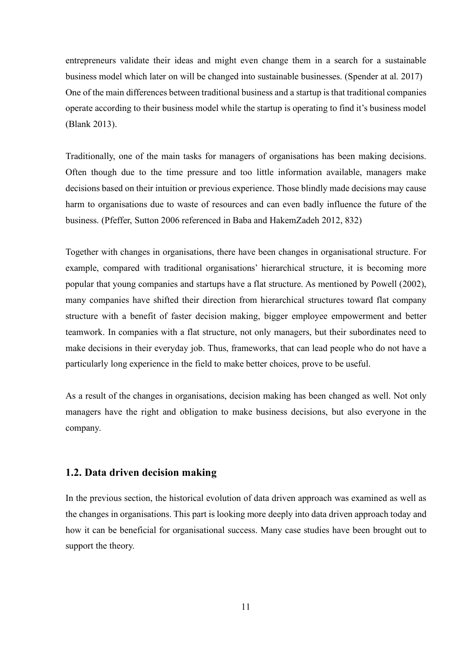entrepreneurs validate their ideas and might even change them in a search for a sustainable business model which later on will be changed into sustainable businesses. (Spender at al. 2017) One of the main differences between traditional business and a startup is that traditional companies operate according to their business model while the startup is operating to find it's business model (Blank 2013).

Traditionally, one of the main tasks for managers of organisations has been making decisions. Often though due to the time pressure and too little information available, managers make decisions based on their intuition or previous experience. Those blindly made decisions may cause harm to organisations due to waste of resources and can even badly influence the future of the business. (Pfeffer, Sutton 2006 referenced in Baba and HakemZadeh 2012, 832)

Together with changes in organisations, there have been changes in organisational structure. For example, compared with traditional organisations' hierarchical structure, it is becoming more popular that young companies and startups have a flat structure. As mentioned by Powell (2002), many companies have shifted their direction from hierarchical structures toward flat company structure with a benefit of faster decision making, bigger employee empowerment and better teamwork. In companies with a flat structure, not only managers, but their subordinates need to make decisions in their everyday job. Thus, frameworks, that can lead people who do not have a particularly long experience in the field to make better choices, prove to be useful.

As a result of the changes in organisations, decision making has been changed as well. Not only managers have the right and obligation to make business decisions, but also everyone in the company.

## **1.2. Data driven decision making**

In the previous section, the historical evolution of data driven approach was examined as well as the changes in organisations. This part is looking more deeply into data driven approach today and how it can be beneficial for organisational success. Many case studies have been brought out to support the theory.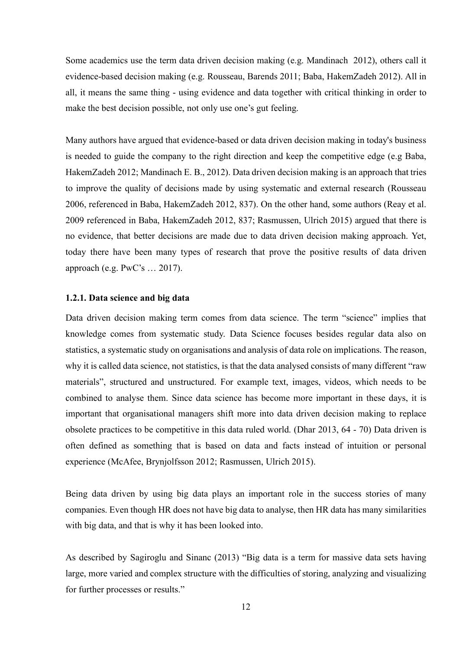Some academics use the term data driven decision making (e.g. Mandinach 2012), others call it evidence-based decision making (e.g. Rousseau, Barends 2011; Baba, HakemZadeh 2012). All in all, it means the same thing - using evidence and data together with critical thinking in order to make the best decision possible, not only use one's gut feeling.

Many authors have argued that evidence-based or data driven decision making in today's business is needed to guide the company to the right direction and keep the competitive edge (e.g Baba, HakemZadeh 2012; Mandinach E. B., 2012). Data driven decision making is an approach that tries to improve the quality of decisions made by using systematic and external research (Rousseau 2006, referenced in Baba, HakemZadeh 2012, 837). On the other hand, some authors (Reay et al. 2009 referenced in Baba, HakemZadeh 2012, 837; Rasmussen, Ulrich 2015) argued that there is no evidence, that better decisions are made due to data driven decision making approach. Yet, today there have been many types of research that prove the positive results of data driven approach (e.g. PwC's … 2017).

### **1.2.1. Data science and big data**

Data driven decision making term comes from data science. The term "science" implies that knowledge comes from systematic study. Data Science focuses besides regular data also on statistics, a systematic study on organisations and analysis of data role on implications. The reason, why it is called data science, not statistics, is that the data analysed consists of many different "raw materials", structured and unstructured. For example text, images, videos, which needs to be combined to analyse them. Since data science has become more important in these days, it is important that organisational managers shift more into data driven decision making to replace obsolete practices to be competitive in this data ruled world. (Dhar 2013, 64 - 70) Data driven is often defined as something that is based on data and facts instead of intuition or personal experience (McAfee, Brynjolfsson 2012; Rasmussen, Ulrich 2015).

Being data driven by using big data plays an important role in the success stories of many companies. Even though HR does not have big data to analyse, then HR data has many similarities with big data, and that is why it has been looked into.

As described by Sagiroglu and Sinanc (2013) "Big data is a term for massive data sets having large, more varied and complex structure with the difficulties of storing, analyzing and visualizing for further processes or results."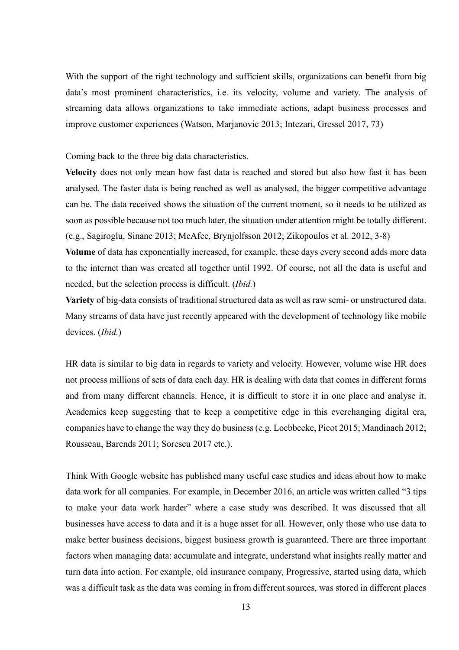With the support of the right technology and sufficient skills, organizations can benefit from big data's most prominent characteristics, i.e. its velocity, volume and variety. The analysis of streaming data allows organizations to take immediate actions, adapt business processes and improve customer experiences (Watson, Marjanovic 2013; Intezari, Gressel 2017, 73)

Coming back to the three big data characteristics.

**Velocity** does not only mean how fast data is reached and stored but also how fast it has been analysed. The faster data is being reached as well as analysed, the bigger competitive advantage can be. The data received shows the situation of the current moment, so it needs to be utilized as soon as possible because not too much later, the situation under attention might be totally different. (e.g., Sagiroglu, Sinanc 2013; McAfee, Brynjolfsson 2012; Zikopoulos et al. 2012, 3-8)

**Volume** of data has exponentially increased, for example, these days every second adds more data to the internet than was created all together until 1992. Of course, not all the data is useful and needed, but the selection process is difficult. (*Ibid.*)

**Variety** of big-data consists of traditional structured data as well as raw semi- or unstructured data. Many streams of data have just recently appeared with the development of technology like mobile devices. (*Ibid.*)

HR data is similar to big data in regards to variety and velocity. However, volume wise HR does not process millions of sets of data each day. HR is dealing with data that comes in different forms and from many different channels. Hence, it is difficult to store it in one place and analyse it. Academics keep suggesting that to keep a competitive edge in this everchanging digital era, companies have to change the way they do business (e.g. Loebbecke, Picot 2015; Mandinach 2012; Rousseau, Barends 2011; Sorescu 2017 etc.).

Think With Google website has published many useful case studies and ideas about how to make data work for all companies. For example, in December 2016, an article was written called "3 tips to make your data work harder" where a case study was described. It was discussed that all businesses have access to data and it is a huge asset for all. However, only those who use data to make better business decisions, biggest business growth is guaranteed. There are three important factors when managing data: accumulate and integrate, understand what insights really matter and turn data into action. For example, old insurance company, Progressive, started using data, which was a difficult task as the data was coming in from different sources, was stored in different places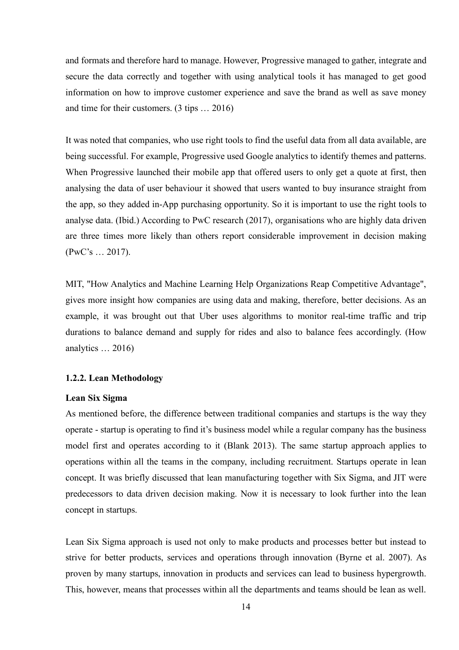and formats and therefore hard to manage. However, Progressive managed to gather, integrate and secure the data correctly and together with using analytical tools it has managed to get good information on how to improve customer experience and save the brand as well as save money and time for their customers. (3 tips … 2016)

It was noted that companies, who use right tools to find the useful data from all data available, are being successful. For example, Progressive used Google analytics to identify themes and patterns. When Progressive launched their mobile app that offered users to only get a quote at first, then analysing the data of user behaviour it showed that users wanted to buy insurance straight from the app, so they added in-App purchasing opportunity. So it is important to use the right tools to analyse data. (Ibid.) According to PwC research (2017), organisations who are highly data driven are three times more likely than others report considerable improvement in decision making (PwC's … 2017).

MIT, "How Analytics and Machine Learning Help Organizations Reap Competitive Advantage", gives more insight how companies are using data and making, therefore, better decisions. As an example, it was brought out that Uber uses algorithms to monitor real-time traffic and trip durations to balance demand and supply for rides and also to balance fees accordingly. (How analytics … 2016)

## **1.2.2. Lean Methodology**

#### **Lean Six Sigma**

As mentioned before, the difference between traditional companies and startups is the way they operate - startup is operating to find it's business model while a regular company has the business model first and operates according to it (Blank 2013). The same startup approach applies to operations within all the teams in the company, including recruitment. Startups operate in lean concept. It was briefly discussed that lean manufacturing together with Six Sigma, and JIT were predecessors to data driven decision making. Now it is necessary to look further into the lean concept in startups.

Lean Six Sigma approach is used not only to make products and processes better but instead to strive for better products, services and operations through innovation (Byrne et al. 2007). As proven by many startups, innovation in products and services can lead to business hypergrowth. This, however, means that processes within all the departments and teams should be lean as well.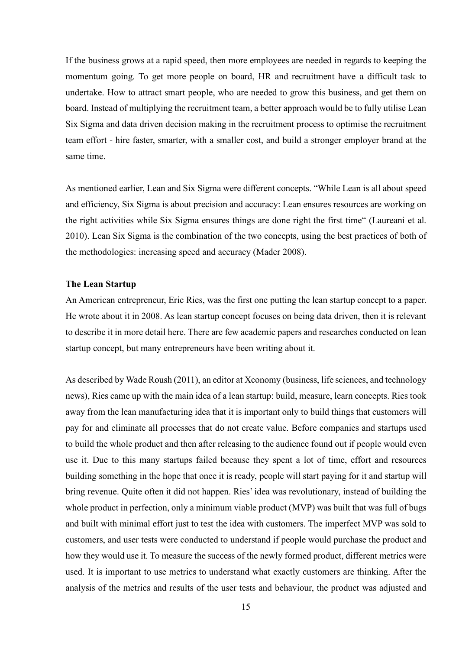If the business grows at a rapid speed, then more employees are needed in regards to keeping the momentum going. To get more people on board, HR and recruitment have a difficult task to undertake. How to attract smart people, who are needed to grow this business, and get them on board. Instead of multiplying the recruitment team, a better approach would be to fully utilise Lean Six Sigma and data driven decision making in the recruitment process to optimise the recruitment team effort - hire faster, smarter, with a smaller cost, and build a stronger employer brand at the same time.

As mentioned earlier, Lean and Six Sigma were different concepts. "While Lean is all about speed and efficiency, Six Sigma is about precision and accuracy: Lean ensures resources are working on the right activities while Six Sigma ensures things are done right the first time" (Laureani et al. 2010). Lean Six Sigma is the combination of the two concepts, using the best practices of both of the methodologies: increasing speed and accuracy (Mader 2008).

#### **The Lean Startup**

An American entrepreneur, Eric Ries, was the first one putting the lean startup concept to a paper. He wrote about it in 2008. As lean startup concept focuses on being data driven, then it is relevant to describe it in more detail here. There are few academic papers and researches conducted on lean startup concept, but many entrepreneurs have been writing about it.

As described by Wade Roush (2011), an editor at Xconomy (business, life sciences, and technology news), Ries came up with the main idea of a lean startup: build, measure, learn concepts. Ries took away from the lean manufacturing idea that it is important only to build things that customers will pay for and eliminate all processes that do not create value. Before companies and startups used to build the whole product and then after releasing to the audience found out if people would even use it. Due to this many startups failed because they spent a lot of time, effort and resources building something in the hope that once it is ready, people will start paying for it and startup will bring revenue. Quite often it did not happen. Ries' idea was revolutionary, instead of building the whole product in perfection, only a minimum viable product (MVP) was built that was full of bugs and built with minimal effort just to test the idea with customers. The imperfect MVP was sold to customers, and user tests were conducted to understand if people would purchase the product and how they would use it. To measure the success of the newly formed product, different metrics were used. It is important to use metrics to understand what exactly customers are thinking. After the analysis of the metrics and results of the user tests and behaviour, the product was adjusted and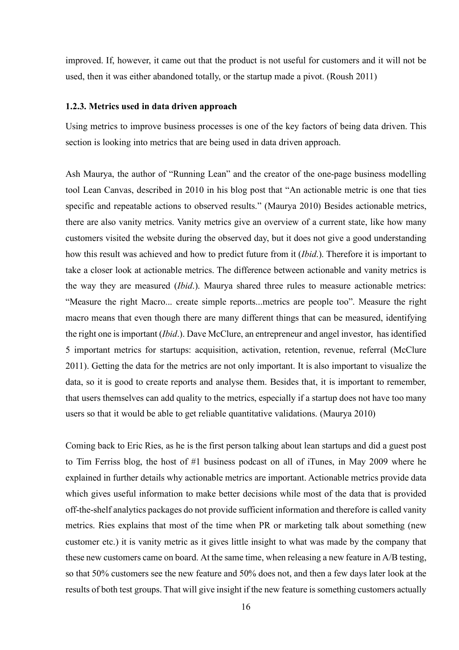improved. If, however, it came out that the product is not useful for customers and it will not be used, then it was either abandoned totally, or the startup made a pivot. (Roush 2011)

#### **1.2.3. Metrics used in data driven approach**

Using metrics to improve business processes is one of the key factors of being data driven. This section is looking into metrics that are being used in data driven approach.

Ash Maurya, the author of "Running Lean" and the creator of the one-page business modelling tool Lean Canvas, described in 2010 in his blog post that "An actionable metric is one that ties specific and repeatable actions to observed results." (Maurya 2010) Besides actionable metrics, there are also vanity metrics. Vanity metrics give an overview of a current state, like how many customers visited the website during the observed day, but it does not give a good understanding how this result was achieved and how to predict future from it (*Ibid*.). Therefore it is important to take a closer look at actionable metrics. The difference between actionable and vanity metrics is the way they are measured (*Ibid*.). Maurya shared three rules to measure actionable metrics: "Measure the right Macro... create simple reports...metrics are people too". Measure the right macro means that even though there are many different things that can be measured, identifying the right one is important (*Ibid*.). Dave McClure, an entrepreneur and angel investor, has identified 5 important metrics for startups: acquisition, activation, retention, revenue, referral (McClure 2011). Getting the data for the metrics are not only important. It is also important to visualize the data, so it is good to create reports and analyse them. Besides that, it is important to remember, that users themselves can add quality to the metrics, especially if a startup does not have too many users so that it would be able to get reliable quantitative validations. (Maurya 2010)

Coming back to Eric Ries, as he is the first person talking about lean startups and did a guest post to Tim Ferriss blog, the host of #1 business podcast on all of iTunes, in May 2009 where he explained in further details why actionable metrics are important. Actionable metrics provide data which gives useful information to make better decisions while most of the data that is provided off-the-shelf analytics packages do not provide sufficient information and therefore is called vanity metrics. Ries explains that most of the time when PR or marketing talk about something (new customer etc.) it is vanity metric as it gives little insight to what was made by the company that these new customers came on board. At the same time, when releasing a new feature in A/B testing, so that 50% customers see the new feature and 50% does not, and then a few days later look at the results of both test groups. That will give insight if the new feature is something customers actually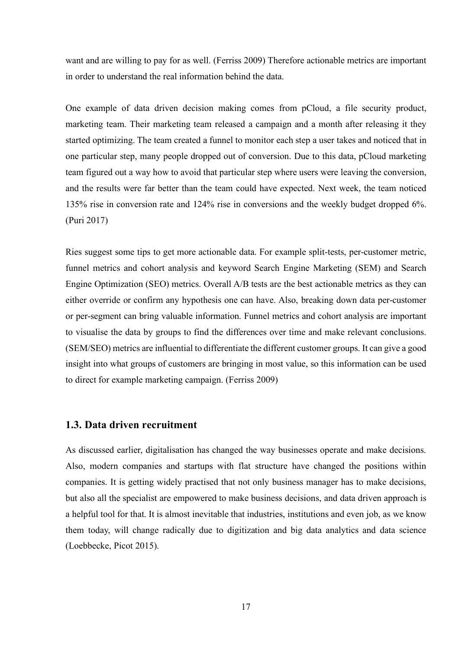want and are willing to pay for as well. (Ferriss 2009) Therefore actionable metrics are important in order to understand the real information behind the data.

One example of data driven decision making comes from pCloud, a file security product, marketing team. Their marketing team released a campaign and a month after releasing it they started optimizing. The team created a funnel to monitor each step a user takes and noticed that in one particular step, many people dropped out of conversion. Due to this data, pCloud marketing team figured out a way how to avoid that particular step where users were leaving the conversion, and the results were far better than the team could have expected. Next week, the team noticed 135% rise in conversion rate and 124% rise in conversions and the weekly budget dropped 6%. (Puri 2017)

Ries suggest some tips to get more actionable data. For example split-tests, per-customer metric, funnel metrics and cohort analysis and keyword Search Engine Marketing (SEM) and Search Engine Optimization (SEO) metrics. Overall A/B tests are the best actionable metrics as they can either override or confirm any hypothesis one can have. Also, breaking down data per-customer or per-segment can bring valuable information. Funnel metrics and cohort analysis are important to visualise the data by groups to find the differences over time and make relevant conclusions. (SEM/SEO) metrics are influential to differentiate the different customer groups. It can give a good insight into what groups of customers are bringing in most value, so this information can be used to direct for example marketing campaign. (Ferriss 2009)

## **1.3. Data driven recruitment**

As discussed earlier, digitalisation has changed the way businesses operate and make decisions. Also, modern companies and startups with flat structure have changed the positions within companies. It is getting widely practised that not only business manager has to make decisions, but also all the specialist are empowered to make business decisions, and data driven approach is a helpful tool for that. It is almost inevitable that industries, institutions and even job, as we know them today, will change radically due to digitization and big data analytics and data science (Loebbecke, Picot 2015).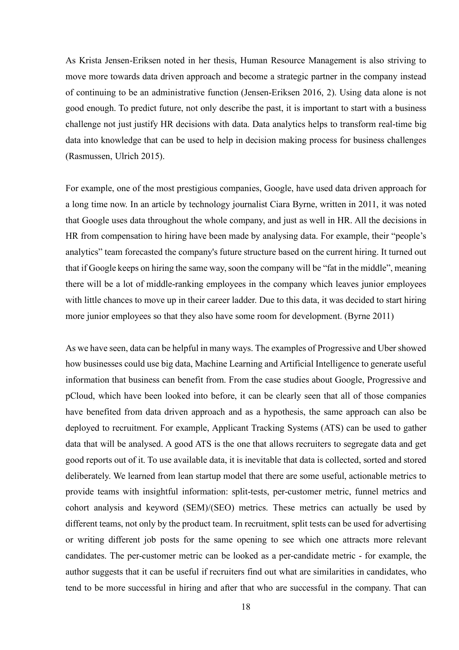As Krista Jensen-Eriksen noted in her thesis, Human Resource Management is also striving to move more towards data driven approach and become a strategic partner in the company instead of continuing to be an administrative function (Jensen-Eriksen 2016, 2). Using data alone is not good enough. To predict future, not only describe the past, it is important to start with a business challenge not just justify HR decisions with data. Data analytics helps to transform real-time big data into knowledge that can be used to help in decision making process for business challenges (Rasmussen, Ulrich 2015).

For example, one of the most prestigious companies, Google, have used data driven approach for a long time now. In an article by technology journalist Ciara Byrne, written in 2011, it was noted that Google uses data throughout the whole company, and just as well in HR. All the decisions in HR from compensation to hiring have been made by analysing data. For example, their "people's analytics" team forecasted the company's future structure based on the current hiring. It turned out that if Google keeps on hiring the same way, soon the company will be "fat in the middle", meaning there will be a lot of middle-ranking employees in the company which leaves junior employees with little chances to move up in their career ladder. Due to this data, it was decided to start hiring more junior employees so that they also have some room for development. (Byrne 2011)

As we have seen, data can be helpful in many ways. The examples of Progressive and Uber showed how businesses could use big data, Machine Learning and Artificial Intelligence to generate useful information that business can benefit from. From the case studies about Google, Progressive and pCloud, which have been looked into before, it can be clearly seen that all of those companies have benefited from data driven approach and as a hypothesis, the same approach can also be deployed to recruitment. For example, Applicant Tracking Systems (ATS) can be used to gather data that will be analysed. A good ATS is the one that allows recruiters to segregate data and get good reports out of it. To use available data, it is inevitable that data is collected, sorted and stored deliberately. We learned from lean startup model that there are some useful, actionable metrics to provide teams with insightful information: split-tests, per-customer metric, funnel metrics and cohort analysis and keyword (SEM)/(SEO) metrics. These metrics can actually be used by different teams, not only by the product team. In recruitment, split tests can be used for advertising or writing different job posts for the same opening to see which one attracts more relevant candidates. The per-customer metric can be looked as a per-candidate metric - for example, the author suggests that it can be useful if recruiters find out what are similarities in candidates, who tend to be more successful in hiring and after that who are successful in the company. That can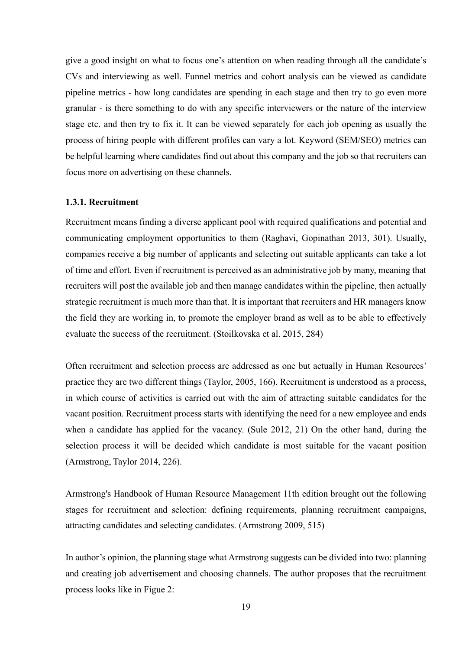give a good insight on what to focus one's attention on when reading through all the candidate's CVs and interviewing as well. Funnel metrics and cohort analysis can be viewed as candidate pipeline metrics - how long candidates are spending in each stage and then try to go even more granular - is there something to do with any specific interviewers or the nature of the interview stage etc. and then try to fix it. It can be viewed separately for each job opening as usually the process of hiring people with different profiles can vary a lot. Keyword (SEM/SEO) metrics can be helpful learning where candidates find out about this company and the job so that recruiters can focus more on advertising on these channels.

#### **1.3.1. Recruitment**

Recruitment means finding a diverse applicant pool with required qualifications and potential and communicating employment opportunities to them (Raghavi, Gopinathan 2013, 301). Usually, companies receive a big number of applicants and selecting out suitable applicants can take a lot of time and effort. Even if recruitment is perceived as an administrative job by many, meaning that recruiters will post the available job and then manage candidates within the pipeline, then actually strategic recruitment is much more than that. It is important that recruiters and HR managers know the field they are working in, to promote the employer brand as well as to be able to effectively evaluate the success of the recruitment. (Stoilkovska et al. 2015, 284)

Often recruitment and selection process are addressed as one but actually in Human Resources' practice they are two different things (Taylor, 2005, 166). Recruitment is understood as a process, in which course of activities is carried out with the aim of attracting suitable candidates for the vacant position. Recruitment process starts with identifying the need for a new employee and ends when a candidate has applied for the vacancy. (Sule 2012, 21) On the other hand, during the selection process it will be decided which candidate is most suitable for the vacant position (Armstrong, Taylor 2014, 226).

Armstrong's Handbook of Human Resource Management 11th edition brought out the following stages for recruitment and selection: defining requirements, planning recruitment campaigns, attracting candidates and selecting candidates. (Armstrong 2009, 515)

In author's opinion, the planning stage what Armstrong suggests can be divided into two: planning and creating job advertisement and choosing channels. The author proposes that the recruitment process looks like in Figue 2: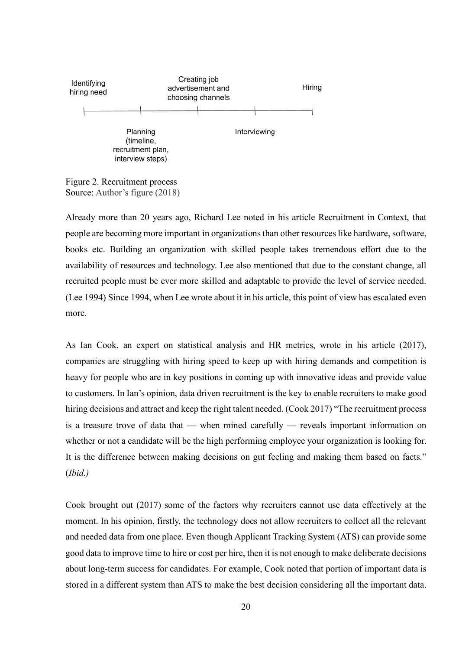

Figure 2. Recruitment process Source: Author's figure (2018)

Already more than 20 years ago, Richard Lee noted in his article Recruitment in Context, that people are becoming more important in organizations than other resources like hardware, software, books etc. Building an organization with skilled people takes tremendous effort due to the availability of resources and technology. Lee also mentioned that due to the constant change, all recruited people must be ever more skilled and adaptable to provide the level of service needed. (Lee 1994) Since 1994, when Lee wrote about it in his article, this point of view has escalated even more.

As Ian Cook, an expert on statistical analysis and HR metrics, wrote in his article (2017), companies are struggling with hiring speed to keep up with hiring demands and competition is heavy for people who are in key positions in coming up with innovative ideas and provide value to customers. In Ian's opinion, data driven recruitment is the key to enable recruiters to make good hiring decisions and attract and keep the right talent needed. (Cook 2017) "The recruitment process is a treasure trove of data that — when mined carefully — reveals important information on whether or not a candidate will be the high performing employee your organization is looking for. It is the difference between making decisions on gut feeling and making them based on facts." (*Ibid.)*

Cook brought out (2017) some of the factors why recruiters cannot use data effectively at the moment. In his opinion, firstly, the technology does not allow recruiters to collect all the relevant and needed data from one place. Even though Applicant Tracking System (ATS) can provide some good data to improve time to hire or cost per hire, then it is not enough to make deliberate decisions about long-term success for candidates. For example, Cook noted that portion of important data is stored in a different system than ATS to make the best decision considering all the important data.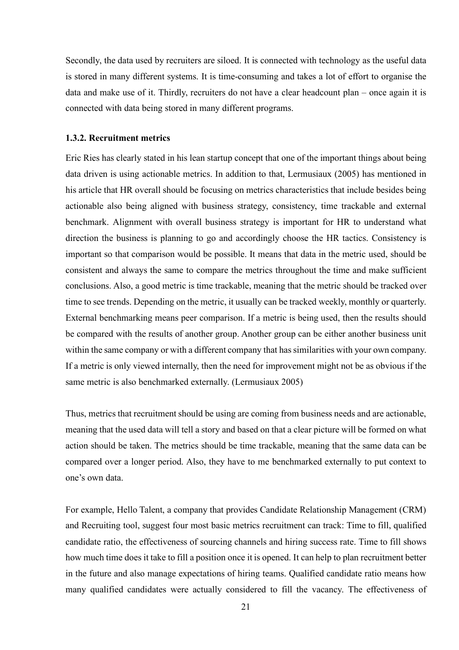Secondly, the data used by recruiters are siloed. It is connected with technology as the useful data is stored in many different systems. It is time-consuming and takes a lot of effort to organise the data and make use of it. Thirdly, recruiters do not have a clear headcount plan – once again it is connected with data being stored in many different programs.

#### **1.3.2. Recruitment metrics**

Eric Ries has clearly stated in his lean startup concept that one of the important things about being data driven is using actionable metrics. In addition to that, Lermusiaux (2005) has mentioned in his article that HR overall should be focusing on metrics characteristics that include besides being actionable also being aligned with business strategy, consistency, time trackable and external benchmark. Alignment with overall business strategy is important for HR to understand what direction the business is planning to go and accordingly choose the HR tactics. Consistency is important so that comparison would be possible. It means that data in the metric used, should be consistent and always the same to compare the metrics throughout the time and make sufficient conclusions. Also, a good metric is time trackable, meaning that the metric should be tracked over time to see trends. Depending on the metric, it usually can be tracked weekly, monthly or quarterly. External benchmarking means peer comparison. If a metric is being used, then the results should be compared with the results of another group. Another group can be either another business unit within the same company or with a different company that has similarities with your own company. If a metric is only viewed internally, then the need for improvement might not be as obvious if the same metric is also benchmarked externally. (Lermusiaux 2005)

Thus, metrics that recruitment should be using are coming from business needs and are actionable, meaning that the used data will tell a story and based on that a clear picture will be formed on what action should be taken. The metrics should be time trackable, meaning that the same data can be compared over a longer period. Also, they have to me benchmarked externally to put context to one's own data.

For example, Hello Talent, a company that provides Candidate Relationship Management (CRM) and Recruiting tool, suggest four most basic metrics recruitment can track: Time to fill, qualified candidate ratio, the effectiveness of sourcing channels and hiring success rate. Time to fill shows how much time does it take to fill a position once it is opened. It can help to plan recruitment better in the future and also manage expectations of hiring teams. Qualified candidate ratio means how many qualified candidates were actually considered to fill the vacancy. The effectiveness of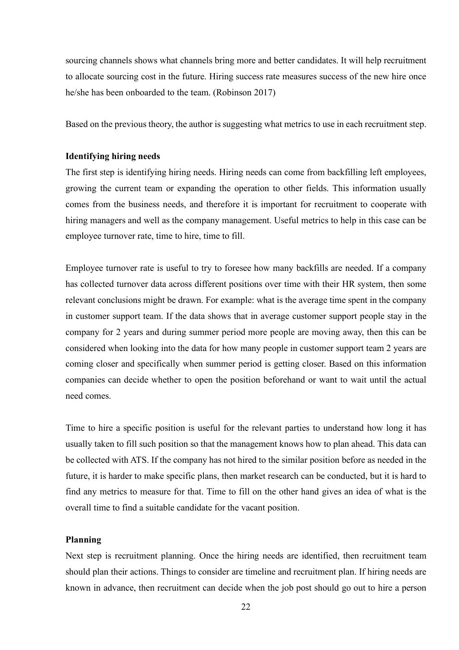sourcing channels shows what channels bring more and better candidates. It will help recruitment to allocate sourcing cost in the future. Hiring success rate measures success of the new hire once he/she has been onboarded to the team. (Robinson 2017)

Based on the previous theory, the author is suggesting what metrics to use in each recruitment step.

#### **Identifying hiring needs**

The first step is identifying hiring needs. Hiring needs can come from backfilling left employees, growing the current team or expanding the operation to other fields. This information usually comes from the business needs, and therefore it is important for recruitment to cooperate with hiring managers and well as the company management. Useful metrics to help in this case can be employee turnover rate, time to hire, time to fill.

Employee turnover rate is useful to try to foresee how many backfills are needed. If a company has collected turnover data across different positions over time with their HR system, then some relevant conclusions might be drawn. For example: what is the average time spent in the company in customer support team. If the data shows that in average customer support people stay in the company for 2 years and during summer period more people are moving away, then this can be considered when looking into the data for how many people in customer support team 2 years are coming closer and specifically when summer period is getting closer. Based on this information companies can decide whether to open the position beforehand or want to wait until the actual need comes.

Time to hire a specific position is useful for the relevant parties to understand how long it has usually taken to fill such position so that the management knows how to plan ahead. This data can be collected with ATS. If the company has not hired to the similar position before as needed in the future, it is harder to make specific plans, then market research can be conducted, but it is hard to find any metrics to measure for that. Time to fill on the other hand gives an idea of what is the overall time to find a suitable candidate for the vacant position.

### **Planning**

Next step is recruitment planning. Once the hiring needs are identified, then recruitment team should plan their actions. Things to consider are timeline and recruitment plan. If hiring needs are known in advance, then recruitment can decide when the job post should go out to hire a person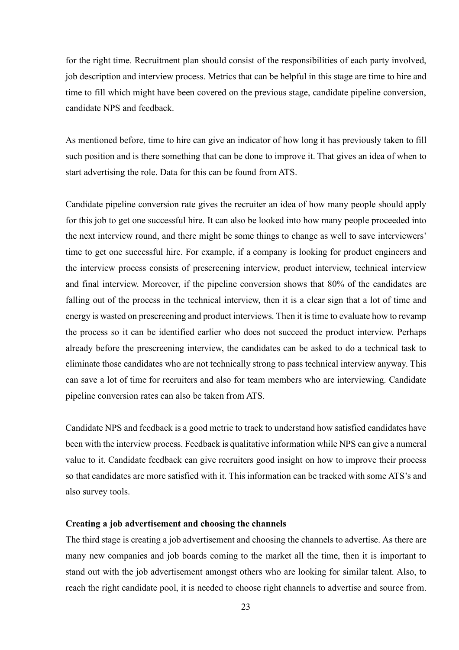for the right time. Recruitment plan should consist of the responsibilities of each party involved, job description and interview process. Metrics that can be helpful in this stage are time to hire and time to fill which might have been covered on the previous stage, candidate pipeline conversion, candidate NPS and feedback.

As mentioned before, time to hire can give an indicator of how long it has previously taken to fill such position and is there something that can be done to improve it. That gives an idea of when to start advertising the role. Data for this can be found from ATS.

Candidate pipeline conversion rate gives the recruiter an idea of how many people should apply for this job to get one successful hire. It can also be looked into how many people proceeded into the next interview round, and there might be some things to change as well to save interviewers' time to get one successful hire. For example, if a company is looking for product engineers and the interview process consists of prescreening interview, product interview, technical interview and final interview. Moreover, if the pipeline conversion shows that 80% of the candidates are falling out of the process in the technical interview, then it is a clear sign that a lot of time and energy is wasted on prescreening and product interviews. Then it is time to evaluate how to revamp the process so it can be identified earlier who does not succeed the product interview. Perhaps already before the prescreening interview, the candidates can be asked to do a technical task to eliminate those candidates who are not technically strong to pass technical interview anyway. This can save a lot of time for recruiters and also for team members who are interviewing. Candidate pipeline conversion rates can also be taken from ATS.

Candidate NPS and feedback is a good metric to track to understand how satisfied candidates have been with the interview process. Feedback is qualitative information while NPS can give a numeral value to it. Candidate feedback can give recruiters good insight on how to improve their process so that candidates are more satisfied with it. This information can be tracked with some ATS's and also survey tools.

#### **Creating a job advertisement and choosing the channels**

The third stage is creating a job advertisement and choosing the channels to advertise. As there are many new companies and job boards coming to the market all the time, then it is important to stand out with the job advertisement amongst others who are looking for similar talent. Also, to reach the right candidate pool, it is needed to choose right channels to advertise and source from.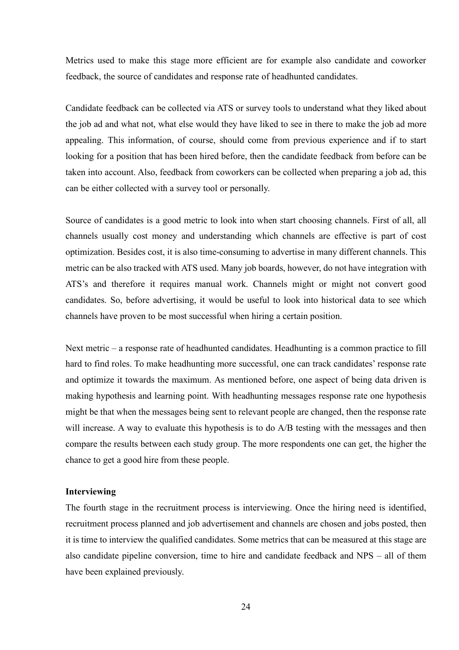Metrics used to make this stage more efficient are for example also candidate and coworker feedback, the source of candidates and response rate of headhunted candidates.

Candidate feedback can be collected via ATS or survey tools to understand what they liked about the job ad and what not, what else would they have liked to see in there to make the job ad more appealing. This information, of course, should come from previous experience and if to start looking for a position that has been hired before, then the candidate feedback from before can be taken into account. Also, feedback from coworkers can be collected when preparing a job ad, this can be either collected with a survey tool or personally.

Source of candidates is a good metric to look into when start choosing channels. First of all, all channels usually cost money and understanding which channels are effective is part of cost optimization. Besides cost, it is also time-consuming to advertise in many different channels. This metric can be also tracked with ATS used. Many job boards, however, do not have integration with ATS's and therefore it requires manual work. Channels might or might not convert good candidates. So, before advertising, it would be useful to look into historical data to see which channels have proven to be most successful when hiring a certain position.

Next metric – a response rate of headhunted candidates. Headhunting is a common practice to fill hard to find roles. To make headhunting more successful, one can track candidates' response rate and optimize it towards the maximum. As mentioned before, one aspect of being data driven is making hypothesis and learning point. With headhunting messages response rate one hypothesis might be that when the messages being sent to relevant people are changed, then the response rate will increase. A way to evaluate this hypothesis is to do A/B testing with the messages and then compare the results between each study group. The more respondents one can get, the higher the chance to get a good hire from these people.

#### **Interviewing**

The fourth stage in the recruitment process is interviewing. Once the hiring need is identified, recruitment process planned and job advertisement and channels are chosen and jobs posted, then it is time to interview the qualified candidates. Some metrics that can be measured at this stage are also candidate pipeline conversion, time to hire and candidate feedback and NPS – all of them have been explained previously.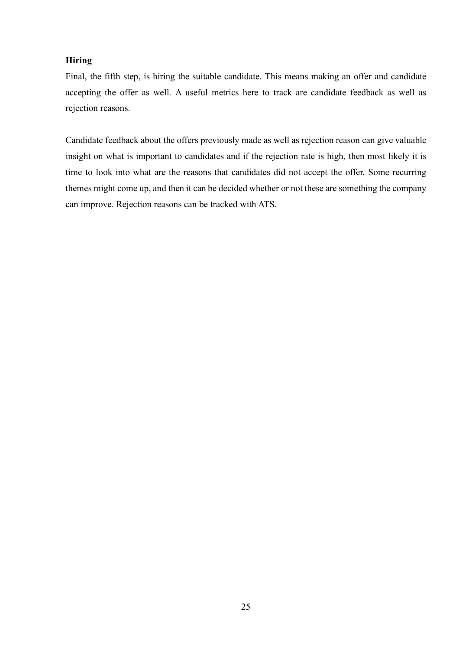## **Hiring**

Final, the fifth step, is hiring the suitable candidate. This means making an offer and candidate accepting the offer as well. A useful metrics here to track are candidate feedback as well as rejection reasons.

Candidate feedback about the offers previously made as well as rejection reason can give valuable insight on what is important to candidates and if the rejection rate is high, then most likely it is time to look into what are the reasons that candidates did not accept the offer. Some recurring themes might come up, and then it can be decided whether or not these are something the company can improve. Rejection reasons can be tracked with ATS.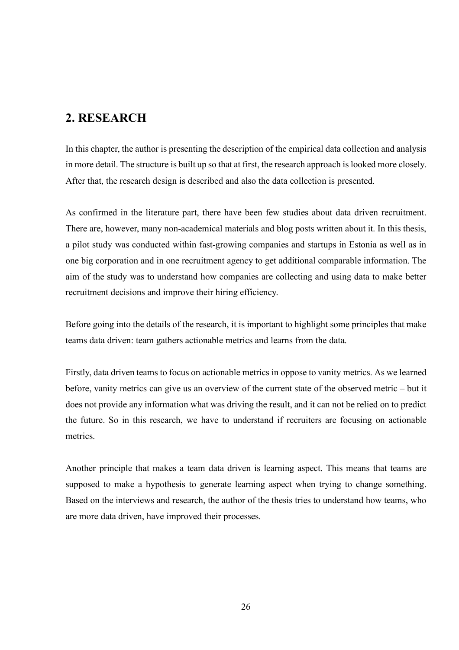# **2. RESEARCH**

In this chapter, the author is presenting the description of the empirical data collection and analysis in more detail. The structure is built up so that at first, the research approach is looked more closely. After that, the research design is described and also the data collection is presented.

As confirmed in the literature part, there have been few studies about data driven recruitment. There are, however, many non-academical materials and blog posts written about it. In this thesis, a pilot study was conducted within fast-growing companies and startups in Estonia as well as in one big corporation and in one recruitment agency to get additional comparable information. The aim of the study was to understand how companies are collecting and using data to make better recruitment decisions and improve their hiring efficiency.

Before going into the details of the research, it is important to highlight some principles that make teams data driven: team gathers actionable metrics and learns from the data.

Firstly, data driven teams to focus on actionable metrics in oppose to vanity metrics. As we learned before, vanity metrics can give us an overview of the current state of the observed metric – but it does not provide any information what was driving the result, and it can not be relied on to predict the future. So in this research, we have to understand if recruiters are focusing on actionable metrics.

Another principle that makes a team data driven is learning aspect. This means that teams are supposed to make a hypothesis to generate learning aspect when trying to change something. Based on the interviews and research, the author of the thesis tries to understand how teams, who are more data driven, have improved their processes.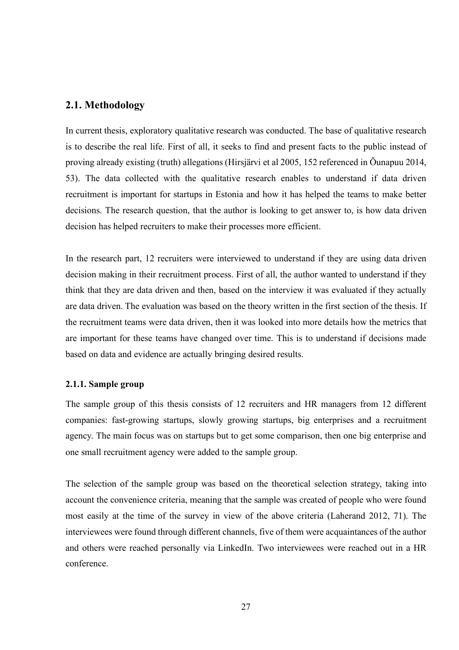## **2.1. Methodology**

In current thesis, exploratory qualitative research was conducted. The base of qualitative research is to describe the real life. First of all, it seeks to find and present facts to the public instead of proving already existing (truth) allegations (Hirsjärvi et al 2005, 152 referenced in Õunapuu 2014, 53). The data collected with the qualitative research enables to understand if data driven recruitment is important for startups in Estonia and how it has helped the teams to make better decisions. The research question, that the author is looking to get answer to, is how data driven decision has helped recruiters to make their processes more efficient.

In the research part, 12 recruiters were interviewed to understand if they are using data driven decision making in their recruitment process. First of all, the author wanted to understand if they think that they are data driven and then, based on the interview it was evaluated if they actually are data driven. The evaluation was based on the theory written in the first section of the thesis. If the recruitment teams were data driven, then it was looked into more details how the metrics that are important for these teams have changed over time. This is to understand if decisions made based on data and evidence are actually bringing desired results.

## **2.1.1. Sample group**

The sample group of this thesis consists of 12 recruiters and HR managers from 12 different companies: fast-growing startups, slowly growing startups, big enterprises and a recruitment agency. The main focus was on startups but to get some comparison, then one big enterprise and one small recruitment agency were added to the sample group.

The selection of the sample group was based on the theoretical selection strategy, taking into account the convenience criteria, meaning that the sample was created of people who were found most easily at the time of the survey in view of the above criteria (Laherand 2012, 71). The interviewees were found through different channels, five of them were acquaintances of the author and others were reached personally via LinkedIn. Two interviewees were reached out in a HR conference.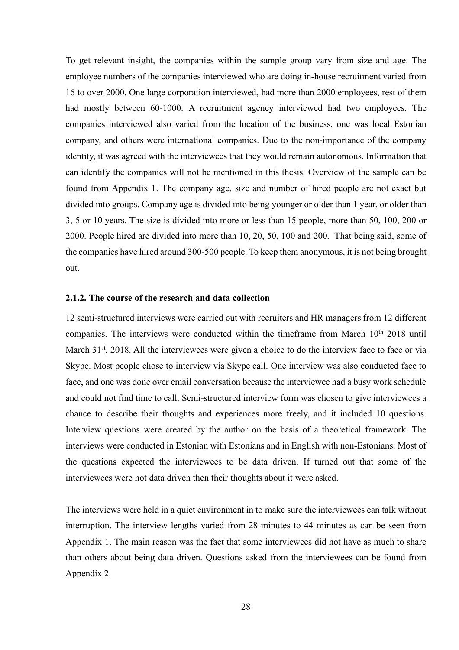To get relevant insight, the companies within the sample group vary from size and age. The employee numbers of the companies interviewed who are doing in-house recruitment varied from 16 to over 2000. One large corporation interviewed, had more than 2000 employees, rest of them had mostly between 60-1000. A recruitment agency interviewed had two employees. The companies interviewed also varied from the location of the business, one was local Estonian company, and others were international companies. Due to the non-importance of the company identity, it was agreed with the interviewees that they would remain autonomous. Information that can identify the companies will not be mentioned in this thesis. Overview of the sample can be found from Appendix 1. The company age, size and number of hired people are not exact but divided into groups. Company age is divided into being younger or older than 1 year, or older than 3, 5 or 10 years. The size is divided into more or less than 15 people, more than 50, 100, 200 or 2000. People hired are divided into more than 10, 20, 50, 100 and 200. That being said, some of the companies have hired around 300-500 people. To keep them anonymous, it is not being brought out.

#### **2.1.2. The course of the research and data collection**

12 semi-structured interviews were carried out with recruiters and HR managers from 12 different companies. The interviews were conducted within the timeframe from March  $10<sup>th</sup>$  2018 until March 31<sup>st</sup>, 2018. All the interviewees were given a choice to do the interview face to face or via Skype. Most people chose to interview via Skype call. One interview was also conducted face to face, and one was done over email conversation because the interviewee had a busy work schedule and could not find time to call. Semi-structured interview form was chosen to give interviewees a chance to describe their thoughts and experiences more freely, and it included 10 questions. Interview questions were created by the author on the basis of a theoretical framework. The interviews were conducted in Estonian with Estonians and in English with non-Estonians. Most of the questions expected the interviewees to be data driven. If turned out that some of the interviewees were not data driven then their thoughts about it were asked.

The interviews were held in a quiet environment in to make sure the interviewees can talk without interruption. The interview lengths varied from 28 minutes to 44 minutes as can be seen from Appendix 1. The main reason was the fact that some interviewees did not have as much to share than others about being data driven. Questions asked from the interviewees can be found from Appendix 2.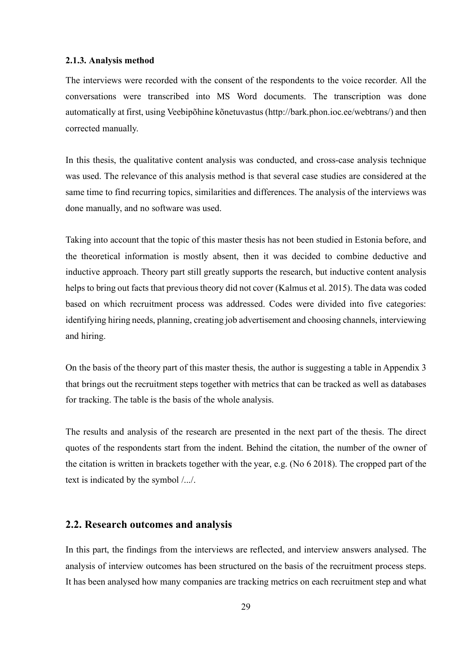#### **2.1.3. Analysis method**

The interviews were recorded with the consent of the respondents to the voice recorder. All the conversations were transcribed into MS Word documents. The transcription was done automatically at first, using Veebipõhine kõnetuvastus (http://bark.phon.ioc.ee/webtrans/) and then corrected manually.

In this thesis, the qualitative content analysis was conducted, and cross-case analysis technique was used. The relevance of this analysis method is that several case studies are considered at the same time to find recurring topics, similarities and differences. The analysis of the interviews was done manually, and no software was used.

Taking into account that the topic of this master thesis has not been studied in Estonia before, and the theoretical information is mostly absent, then it was decided to combine deductive and inductive approach. Theory part still greatly supports the research, but inductive content analysis helps to bring out facts that previous theory did not cover (Kalmus et al. 2015). The data was coded based on which recruitment process was addressed. Codes were divided into five categories: identifying hiring needs, planning, creating job advertisement and choosing channels, interviewing and hiring.

On the basis of the theory part of this master thesis, the author is suggesting a table in Appendix 3 that brings out the recruitment steps together with metrics that can be tracked as well as databases for tracking. The table is the basis of the whole analysis.

The results and analysis of the research are presented in the next part of the thesis. The direct quotes of the respondents start from the indent. Behind the citation, the number of the owner of the citation is written in brackets together with the year, e.g. (No 6 2018). The cropped part of the text is indicated by the symbol /.../.

## **2.2. Research outcomes and analysis**

In this part, the findings from the interviews are reflected, and interview answers analysed. The analysis of interview outcomes has been structured on the basis of the recruitment process steps. It has been analysed how many companies are tracking metrics on each recruitment step and what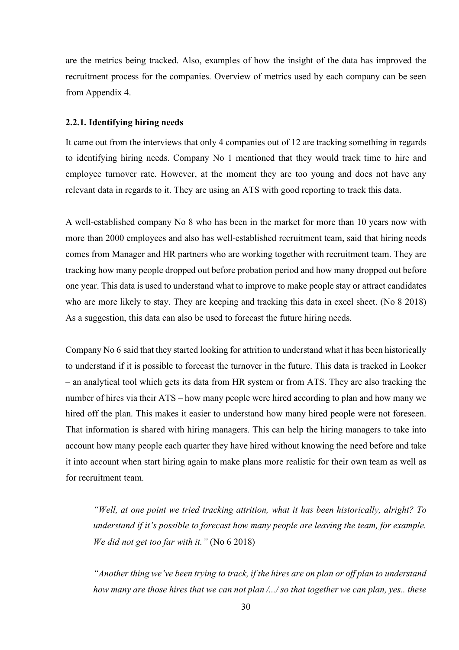are the metrics being tracked. Also, examples of how the insight of the data has improved the recruitment process for the companies. Overview of metrics used by each company can be seen from Appendix 4.

#### **2.2.1. Identifying hiring needs**

It came out from the interviews that only 4 companies out of 12 are tracking something in regards to identifying hiring needs. Company No 1 mentioned that they would track time to hire and employee turnover rate. However, at the moment they are too young and does not have any relevant data in regards to it. They are using an ATS with good reporting to track this data.

A well-established company No 8 who has been in the market for more than 10 years now with more than 2000 employees and also has well-established recruitment team, said that hiring needs comes from Manager and HR partners who are working together with recruitment team. They are tracking how many people dropped out before probation period and how many dropped out before one year. This data is used to understand what to improve to make people stay or attract candidates who are more likely to stay. They are keeping and tracking this data in excel sheet. (No 8 2018) As a suggestion, this data can also be used to forecast the future hiring needs.

Company No 6 said that they started looking for attrition to understand what it has been historically to understand if it is possible to forecast the turnover in the future. This data is tracked in Looker – an analytical tool which gets its data from HR system or from ATS. They are also tracking the number of hires via their ATS – how many people were hired according to plan and how many we hired off the plan. This makes it easier to understand how many hired people were not foreseen. That information is shared with hiring managers. This can help the hiring managers to take into account how many people each quarter they have hired without knowing the need before and take it into account when start hiring again to make plans more realistic for their own team as well as for recruitment team.

*"Well, at one point we tried tracking attrition, what it has been historically, alright? To understand if it's possible to forecast how many people are leaving the team, for example. We did not get too far with it."* (No 6 2018)

*"Another thing we've been trying to track, if the hires are on plan or off plan to understand how many are those hires that we can not plan /.../ so that together we can plan, yes.. these*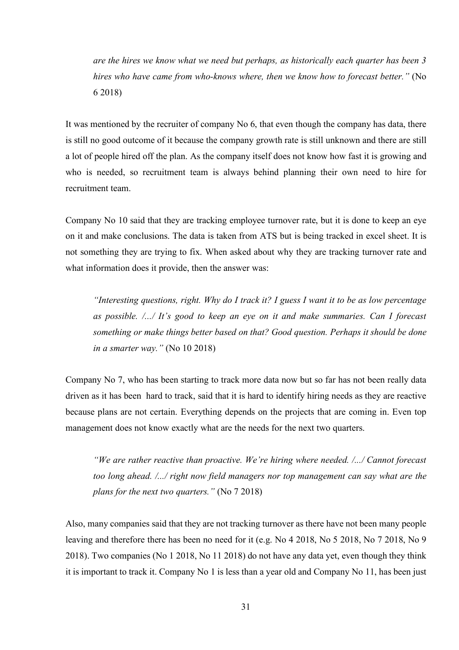*are the hires we know what we need but perhaps, as historically each quarter has been 3 hires who have came from who-knows where, then we know how to forecast better."* (No 6 2018)

It was mentioned by the recruiter of company No 6, that even though the company has data, there is still no good outcome of it because the company growth rate is still unknown and there are still a lot of people hired off the plan. As the company itself does not know how fast it is growing and who is needed, so recruitment team is always behind planning their own need to hire for recruitment team.

Company No 10 said that they are tracking employee turnover rate, but it is done to keep an eye on it and make conclusions. The data is taken from ATS but is being tracked in excel sheet. It is not something they are trying to fix. When asked about why they are tracking turnover rate and what information does it provide, then the answer was:

*"Interesting questions, right. Why do I track it? I guess I want it to be as low percentage as possible. /.../ It's good to keep an eye on it and make summaries. Can I forecast something or make things better based on that? Good question. Perhaps it should be done in a smarter way."* (No 10 2018)

Company No 7, who has been starting to track more data now but so far has not been really data driven as it has been hard to track, said that it is hard to identify hiring needs as they are reactive because plans are not certain. Everything depends on the projects that are coming in. Even top management does not know exactly what are the needs for the next two quarters.

*"We are rather reactive than proactive. We're hiring where needed. /.../ Cannot forecast too long ahead. /.../ right now field managers nor top management can say what are the plans for the next two quarters."* (No 7 2018)

Also, many companies said that they are not tracking turnover as there have not been many people leaving and therefore there has been no need for it (e.g. No 4 2018, No 5 2018, No 7 2018, No 9 2018). Two companies (No 1 2018, No 11 2018) do not have any data yet, even though they think it is important to track it. Company No 1 is less than a year old and Company No 11, has been just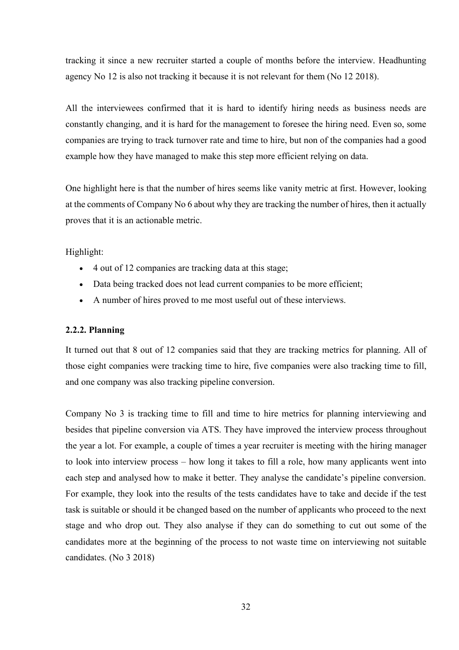tracking it since a new recruiter started a couple of months before the interview. Headhunting agency No 12 is also not tracking it because it is not relevant for them (No 12 2018).

All the interviewees confirmed that it is hard to identify hiring needs as business needs are constantly changing, and it is hard for the management to foresee the hiring need. Even so, some companies are trying to track turnover rate and time to hire, but non of the companies had a good example how they have managed to make this step more efficient relying on data.

One highlight here is that the number of hires seems like vanity metric at first. However, looking at the comments of Company No 6 about why they are tracking the number of hires, then it actually proves that it is an actionable metric.

Highlight:

- 4 out of 12 companies are tracking data at this stage;
- Data being tracked does not lead current companies to be more efficient;
- A number of hires proved to me most useful out of these interviews.

### **2.2.2. Planning**

It turned out that 8 out of 12 companies said that they are tracking metrics for planning. All of those eight companies were tracking time to hire, five companies were also tracking time to fill, and one company was also tracking pipeline conversion.

Company No 3 is tracking time to fill and time to hire metrics for planning interviewing and besides that pipeline conversion via ATS. They have improved the interview process throughout the year a lot. For example, a couple of times a year recruiter is meeting with the hiring manager to look into interview process – how long it takes to fill a role, how many applicants went into each step and analysed how to make it better. They analyse the candidate's pipeline conversion. For example, they look into the results of the tests candidates have to take and decide if the test task is suitable or should it be changed based on the number of applicants who proceed to the next stage and who drop out. They also analyse if they can do something to cut out some of the candidates more at the beginning of the process to not waste time on interviewing not suitable candidates. (No 3 2018)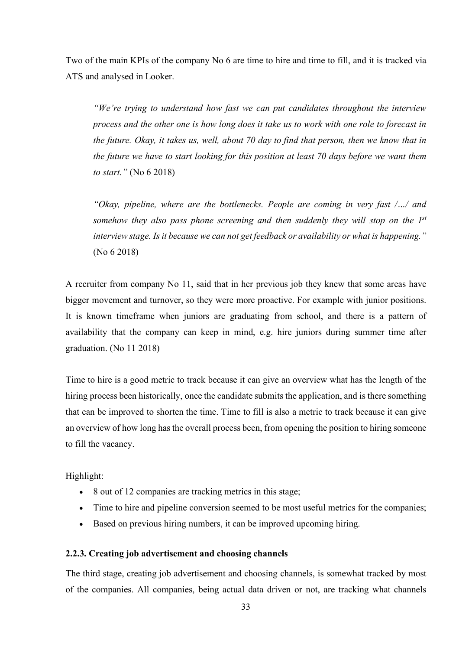Two of the main KPIs of the company No 6 are time to hire and time to fill, and it is tracked via ATS and analysed in Looker.

*"We're trying to understand how fast we can put candidates throughout the interview process and the other one is how long does it take us to work with one role to forecast in the future. Okay, it takes us, well, about 70 day to find that person, then we know that in the future we have to start looking for this position at least 70 days before we want them to start."* (No 6 2018)

*"Okay, pipeline, where are the bottlenecks. People are coming in very fast /…/ and somehow they also pass phone screening and then suddenly they will stop on the 1st interview stage. Is it because we can not get feedback or availability or what is happening."* (No 6 2018)

A recruiter from company No 11, said that in her previous job they knew that some areas have bigger movement and turnover, so they were more proactive. For example with junior positions. It is known timeframe when juniors are graduating from school, and there is a pattern of availability that the company can keep in mind, e.g. hire juniors during summer time after graduation. (No 11 2018)

Time to hire is a good metric to track because it can give an overview what has the length of the hiring process been historically, once the candidate submits the application, and is there something that can be improved to shorten the time. Time to fill is also a metric to track because it can give an overview of how long has the overall process been, from opening the position to hiring someone to fill the vacancy.

Highlight:

- 8 out of 12 companies are tracking metrics in this stage;
- Time to hire and pipeline conversion seemed to be most useful metrics for the companies;
- Based on previous hiring numbers, it can be improved upcoming hiring.

## **2.2.3. Creating job advertisement and choosing channels**

The third stage, creating job advertisement and choosing channels, is somewhat tracked by most of the companies. All companies, being actual data driven or not, are tracking what channels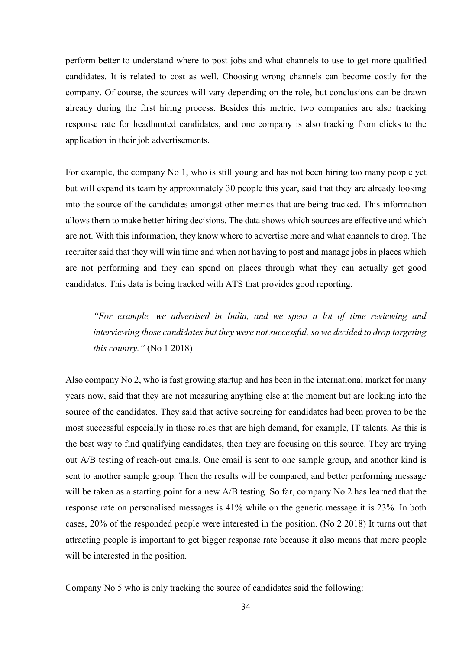perform better to understand where to post jobs and what channels to use to get more qualified candidates. It is related to cost as well. Choosing wrong channels can become costly for the company. Of course, the sources will vary depending on the role, but conclusions can be drawn already during the first hiring process. Besides this metric, two companies are also tracking response rate for headhunted candidates, and one company is also tracking from clicks to the application in their job advertisements.

For example, the company No 1, who is still young and has not been hiring too many people yet but will expand its team by approximately 30 people this year, said that they are already looking into the source of the candidates amongst other metrics that are being tracked. This information allows them to make better hiring decisions. The data shows which sources are effective and which are not. With this information, they know where to advertise more and what channels to drop. The recruiter said that they will win time and when not having to post and manage jobs in places which are not performing and they can spend on places through what they can actually get good candidates. This data is being tracked with ATS that provides good reporting.

*"For example, we advertised in India, and we spent a lot of time reviewing and interviewing those candidates but they were not successful, so we decided to drop targeting this country."* (No 1 2018)

Also company No 2, who is fast growing startup and has been in the international market for many years now, said that they are not measuring anything else at the moment but are looking into the source of the candidates. They said that active sourcing for candidates had been proven to be the most successful especially in those roles that are high demand, for example, IT talents. As this is the best way to find qualifying candidates, then they are focusing on this source. They are trying out A/B testing of reach-out emails. One email is sent to one sample group, and another kind is sent to another sample group. Then the results will be compared, and better performing message will be taken as a starting point for a new A/B testing. So far, company No 2 has learned that the response rate on personalised messages is 41% while on the generic message it is 23%. In both cases, 20% of the responded people were interested in the position. (No 2 2018) It turns out that attracting people is important to get bigger response rate because it also means that more people will be interested in the position.

Company No 5 who is only tracking the source of candidates said the following: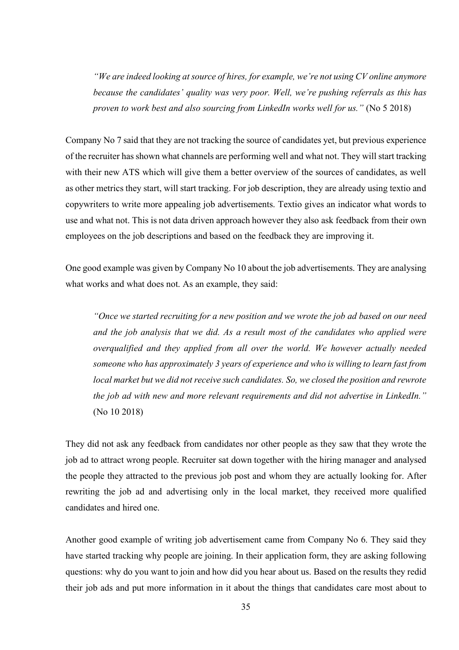*"We are indeed looking at source of hires, for example, we're not using CV online anymore because the candidates' quality was very poor. Well, we're pushing referrals as this has proven to work best and also sourcing from LinkedIn works well for us."* (No 5 2018)

Company No 7 said that they are not tracking the source of candidates yet, but previous experience of the recruiter has shown what channels are performing well and what not. They will start tracking with their new ATS which will give them a better overview of the sources of candidates, as well as other metrics they start, will start tracking. For job description, they are already using textio and copywriters to write more appealing job advertisements. Textio gives an indicator what words to use and what not. This is not data driven approach however they also ask feedback from their own employees on the job descriptions and based on the feedback they are improving it.

One good example was given by Company No 10 about the job advertisements. They are analysing what works and what does not. As an example, they said:

*"Once we started recruiting for a new position and we wrote the job ad based on our need and the job analysis that we did. As a result most of the candidates who applied were overqualified and they applied from all over the world. We however actually needed someone who has approximately 3 years of experience and who is willing to learn fast from local market but we did not receive such candidates. So, we closed the position and rewrote the job ad with new and more relevant requirements and did not advertise in LinkedIn."* (No 10 2018)

They did not ask any feedback from candidates nor other people as they saw that they wrote the job ad to attract wrong people. Recruiter sat down together with the hiring manager and analysed the people they attracted to the previous job post and whom they are actually looking for. After rewriting the job ad and advertising only in the local market, they received more qualified candidates and hired one.

Another good example of writing job advertisement came from Company No 6. They said they have started tracking why people are joining. In their application form, they are asking following questions: why do you want to join and how did you hear about us. Based on the results they redid their job ads and put more information in it about the things that candidates care most about to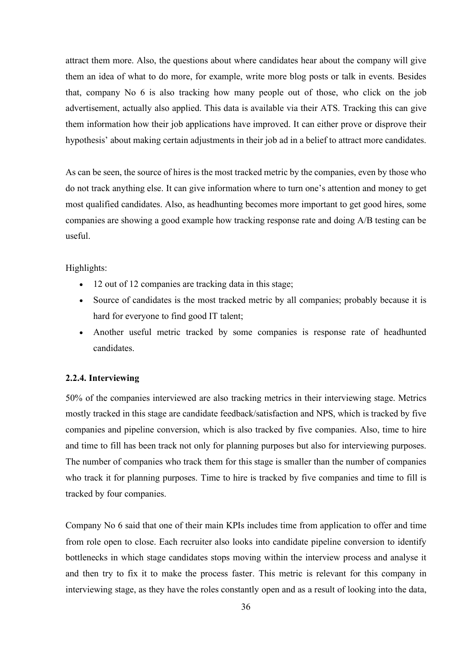attract them more. Also, the questions about where candidates hear about the company will give them an idea of what to do more, for example, write more blog posts or talk in events. Besides that, company No 6 is also tracking how many people out of those, who click on the job advertisement, actually also applied. This data is available via their ATS. Tracking this can give them information how their job applications have improved. It can either prove or disprove their hypothesis' about making certain adjustments in their job ad in a belief to attract more candidates.

As can be seen, the source of hires is the most tracked metric by the companies, even by those who do not track anything else. It can give information where to turn one's attention and money to get most qualified candidates. Also, as headhunting becomes more important to get good hires, some companies are showing a good example how tracking response rate and doing A/B testing can be useful.

## Highlights:

- 12 out of 12 companies are tracking data in this stage;
- Source of candidates is the most tracked metric by all companies; probably because it is hard for everyone to find good IT talent;
- Another useful metric tracked by some companies is response rate of headhunted candidates.

## **2.2.4. Interviewing**

50% of the companies interviewed are also tracking metrics in their interviewing stage. Metrics mostly tracked in this stage are candidate feedback/satisfaction and NPS, which is tracked by five companies and pipeline conversion, which is also tracked by five companies. Also, time to hire and time to fill has been track not only for planning purposes but also for interviewing purposes. The number of companies who track them for this stage is smaller than the number of companies who track it for planning purposes. Time to hire is tracked by five companies and time to fill is tracked by four companies.

Company No 6 said that one of their main KPIs includes time from application to offer and time from role open to close. Each recruiter also looks into candidate pipeline conversion to identify bottlenecks in which stage candidates stops moving within the interview process and analyse it and then try to fix it to make the process faster. This metric is relevant for this company in interviewing stage, as they have the roles constantly open and as a result of looking into the data,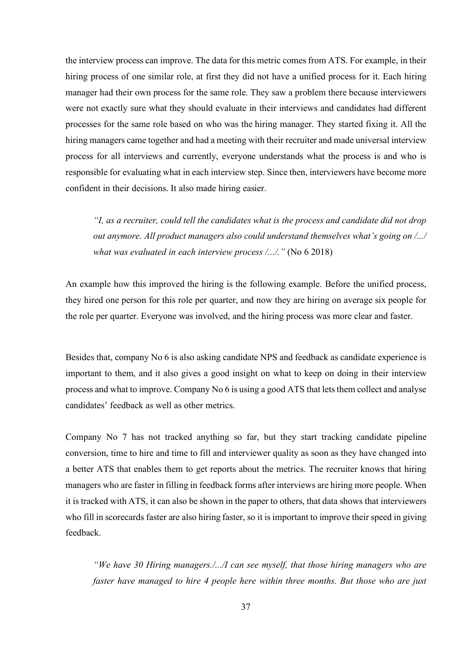the interview process can improve. The data for this metric comes from ATS. For example, in their hiring process of one similar role, at first they did not have a unified process for it. Each hiring manager had their own process for the same role. They saw a problem there because interviewers were not exactly sure what they should evaluate in their interviews and candidates had different processes for the same role based on who was the hiring manager. They started fixing it. All the hiring managers came together and had a meeting with their recruiter and made universal interview process for all interviews and currently, everyone understands what the process is and who is responsible for evaluating what in each interview step. Since then, interviewers have become more confident in their decisions. It also made hiring easier.

*"I, as a recruiter, could tell the candidates what is the process and candidate did not drop out anymore. All product managers also could understand themselves what's going on /.../ what was evaluated in each interview process /.../."* (No 6 2018)

An example how this improved the hiring is the following example. Before the unified process, they hired one person for this role per quarter, and now they are hiring on average six people for the role per quarter. Everyone was involved, and the hiring process was more clear and faster.

Besides that, company No 6 is also asking candidate NPS and feedback as candidate experience is important to them, and it also gives a good insight on what to keep on doing in their interview process and what to improve. Company No 6 is using a good ATS that lets them collect and analyse candidates' feedback as well as other metrics.

Company No 7 has not tracked anything so far, but they start tracking candidate pipeline conversion, time to hire and time to fill and interviewer quality as soon as they have changed into a better ATS that enables them to get reports about the metrics. The recruiter knows that hiring managers who are faster in filling in feedback forms after interviews are hiring more people. When it is tracked with ATS, it can also be shown in the paper to others, that data shows that interviewers who fill in scorecards faster are also hiring faster, so it is important to improve their speed in giving feedback.

*"We have 30 Hiring managers./.../I can see myself, that those hiring managers who are faster have managed to hire 4 people here within three months. But those who are just*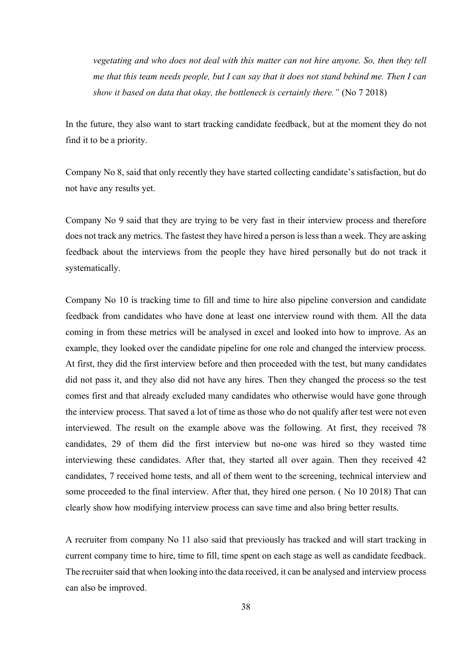*vegetating and who does not deal with this matter can not hire anyone. So, then they tell me that this team needs people, but I can say that it does not stand behind me. Then I can show it based on data that okay, the bottleneck is certainly there."* (No 7 2018)

In the future, they also want to start tracking candidate feedback, but at the moment they do not find it to be a priority.

Company No 8, said that only recently they have started collecting candidate's satisfaction, but do not have any results yet.

Company No 9 said that they are trying to be very fast in their interview process and therefore does not track any metrics. The fastest they have hired a person is less than a week. They are asking feedback about the interviews from the people they have hired personally but do not track it systematically.

Company No 10 is tracking time to fill and time to hire also pipeline conversion and candidate feedback from candidates who have done at least one interview round with them. All the data coming in from these metrics will be analysed in excel and looked into how to improve. As an example, they looked over the candidate pipeline for one role and changed the interview process. At first, they did the first interview before and then proceeded with the test, but many candidates did not pass it, and they also did not have any hires. Then they changed the process so the test comes first and that already excluded many candidates who otherwise would have gone through the interview process. That saved a lot of time as those who do not qualify after test were not even interviewed. The result on the example above was the following. At first, they received 78 candidates, 29 of them did the first interview but no-one was hired so they wasted time interviewing these candidates. After that, they started all over again. Then they received 42 candidates, 7 received home tests, and all of them went to the screening, technical interview and some proceeded to the final interview. After that, they hired one person. ( No 10 2018) That can clearly show how modifying interview process can save time and also bring better results.

A recruiter from company No 11 also said that previously has tracked and will start tracking in current company time to hire, time to fill, time spent on each stage as well as candidate feedback. The recruiter said that when looking into the data received, it can be analysed and interview process can also be improved.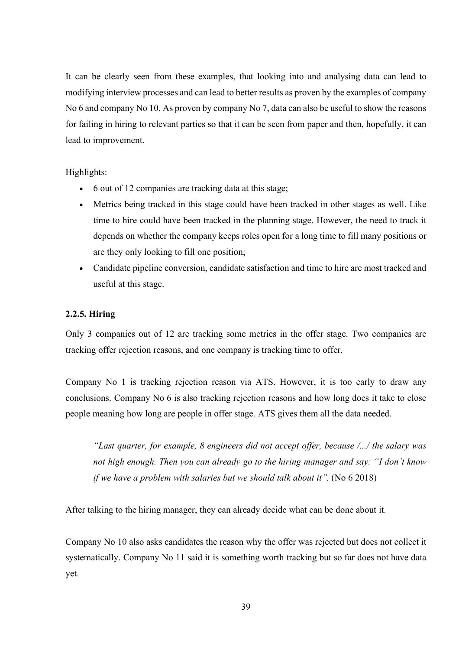It can be clearly seen from these examples, that looking into and analysing data can lead to modifying interview processes and can lead to better results as proven by the examples of company No 6 and company No 10. As proven by company No 7, data can also be useful to show the reasons for failing in hiring to relevant parties so that it can be seen from paper and then, hopefully, it can lead to improvement.

## Highlights:

- 6 out of 12 companies are tracking data at this stage;
- Metrics being tracked in this stage could have been tracked in other stages as well. Like time to hire could have been tracked in the planning stage. However, the need to track it depends on whether the company keeps roles open for a long time to fill many positions or are they only looking to fill one position;
- Candidate pipeline conversion, candidate satisfaction and time to hire are most tracked and useful at this stage.

## **2.2.5. Hiring**

Only 3 companies out of 12 are tracking some metrics in the offer stage. Two companies are tracking offer rejection reasons, and one company is tracking time to offer.

Company No 1 is tracking rejection reason via ATS. However, it is too early to draw any conclusions. Company No 6 is also tracking rejection reasons and how long does it take to close people meaning how long are people in offer stage. ATS gives them all the data needed.

*"Last quarter, for example, 8 engineers did not accept offer, because /.../ the salary was not high enough. Then you can already go to the hiring manager and say: "I don't know if we have a problem with salaries but we should talk about it".* (No 6 2018)

After talking to the hiring manager, they can already decide what can be done about it.

Company No 10 also asks candidates the reason why the offer was rejected but does not collect it systematically. Company No 11 said it is something worth tracking but so far does not have data yet.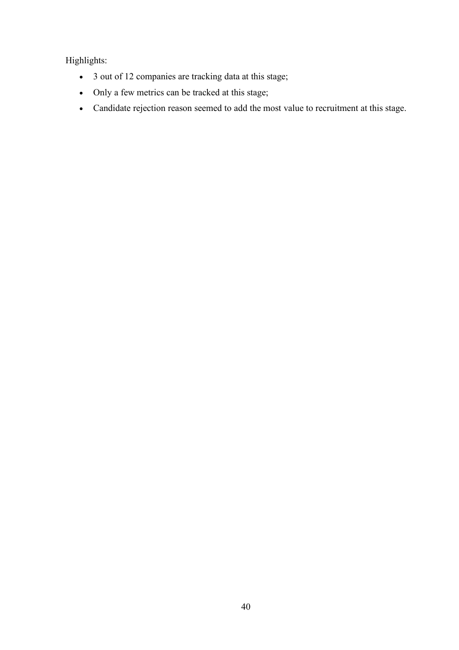Highlights:

- 3 out of 12 companies are tracking data at this stage;
- Only a few metrics can be tracked at this stage;
- Candidate rejection reason seemed to add the most value to recruitment at this stage.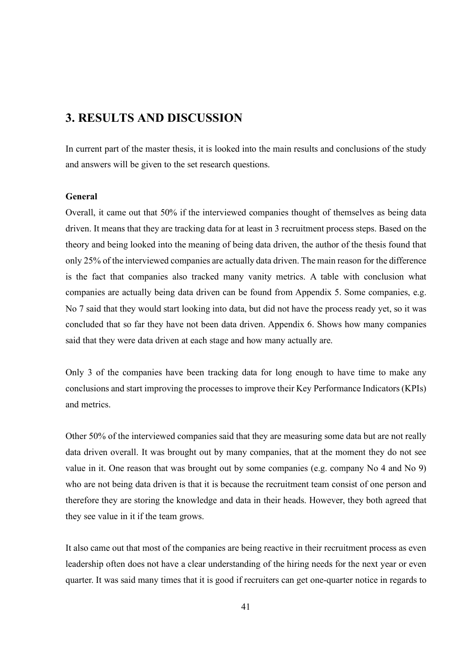## **3. RESULTS AND DISCUSSION**

In current part of the master thesis, it is looked into the main results and conclusions of the study and answers will be given to the set research questions.

## **General**

Overall, it came out that 50% if the interviewed companies thought of themselves as being data driven. It means that they are tracking data for at least in 3 recruitment process steps. Based on the theory and being looked into the meaning of being data driven, the author of the thesis found that only 25% of the interviewed companies are actually data driven. The main reason for the difference is the fact that companies also tracked many vanity metrics. A table with conclusion what companies are actually being data driven can be found from Appendix 5. Some companies, e.g. No 7 said that they would start looking into data, but did not have the process ready yet, so it was concluded that so far they have not been data driven. Appendix 6. Shows how many companies said that they were data driven at each stage and how many actually are.

Only 3 of the companies have been tracking data for long enough to have time to make any conclusions and start improving the processes to improve their Key Performance Indicators (KPIs) and metrics.

Other 50% of the interviewed companies said that they are measuring some data but are not really data driven overall. It was brought out by many companies, that at the moment they do not see value in it. One reason that was brought out by some companies (e.g. company No 4 and No 9) who are not being data driven is that it is because the recruitment team consist of one person and therefore they are storing the knowledge and data in their heads. However, they both agreed that they see value in it if the team grows.

It also came out that most of the companies are being reactive in their recruitment process as even leadership often does not have a clear understanding of the hiring needs for the next year or even quarter. It was said many times that it is good if recruiters can get one-quarter notice in regards to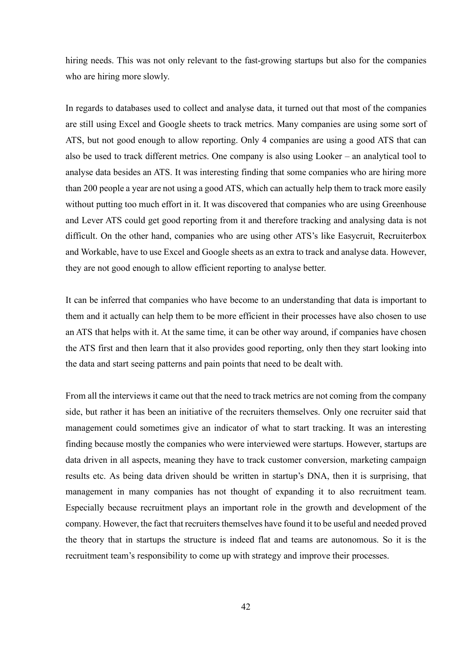hiring needs. This was not only relevant to the fast-growing startups but also for the companies who are hiring more slowly.

In regards to databases used to collect and analyse data, it turned out that most of the companies are still using Excel and Google sheets to track metrics. Many companies are using some sort of ATS, but not good enough to allow reporting. Only 4 companies are using a good ATS that can also be used to track different metrics. One company is also using Looker – an analytical tool to analyse data besides an ATS. It was interesting finding that some companies who are hiring more than 200 people a year are not using a good ATS, which can actually help them to track more easily without putting too much effort in it. It was discovered that companies who are using Greenhouse and Lever ATS could get good reporting from it and therefore tracking and analysing data is not difficult. On the other hand, companies who are using other ATS's like Easycruit, Recruiterbox and Workable, have to use Excel and Google sheets as an extra to track and analyse data. However, they are not good enough to allow efficient reporting to analyse better.

It can be inferred that companies who have become to an understanding that data is important to them and it actually can help them to be more efficient in their processes have also chosen to use an ATS that helps with it. At the same time, it can be other way around, if companies have chosen the ATS first and then learn that it also provides good reporting, only then they start looking into the data and start seeing patterns and pain points that need to be dealt with.

From all the interviews it came out that the need to track metrics are not coming from the company side, but rather it has been an initiative of the recruiters themselves. Only one recruiter said that management could sometimes give an indicator of what to start tracking. It was an interesting finding because mostly the companies who were interviewed were startups. However, startups are data driven in all aspects, meaning they have to track customer conversion, marketing campaign results etc. As being data driven should be written in startup's DNA, then it is surprising, that management in many companies has not thought of expanding it to also recruitment team. Especially because recruitment plays an important role in the growth and development of the company. However, the fact that recruiters themselves have found it to be useful and needed proved the theory that in startups the structure is indeed flat and teams are autonomous. So it is the recruitment team's responsibility to come up with strategy and improve their processes.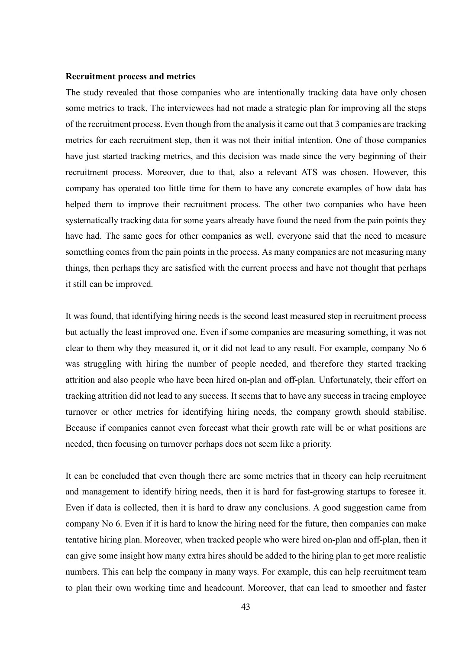#### **Recruitment process and metrics**

The study revealed that those companies who are intentionally tracking data have only chosen some metrics to track. The interviewees had not made a strategic plan for improving all the steps of the recruitment process. Even though from the analysis it came out that 3 companies are tracking metrics for each recruitment step, then it was not their initial intention. One of those companies have just started tracking metrics, and this decision was made since the very beginning of their recruitment process. Moreover, due to that, also a relevant ATS was chosen. However, this company has operated too little time for them to have any concrete examples of how data has helped them to improve their recruitment process. The other two companies who have been systematically tracking data for some years already have found the need from the pain points they have had. The same goes for other companies as well, everyone said that the need to measure something comes from the pain points in the process. As many companies are not measuring many things, then perhaps they are satisfied with the current process and have not thought that perhaps it still can be improved.

It was found, that identifying hiring needs is the second least measured step in recruitment process but actually the least improved one. Even if some companies are measuring something, it was not clear to them why they measured it, or it did not lead to any result. For example, company No 6 was struggling with hiring the number of people needed, and therefore they started tracking attrition and also people who have been hired on-plan and off-plan. Unfortunately, their effort on tracking attrition did not lead to any success. It seems that to have any success in tracing employee turnover or other metrics for identifying hiring needs, the company growth should stabilise. Because if companies cannot even forecast what their growth rate will be or what positions are needed, then focusing on turnover perhaps does not seem like a priority.

It can be concluded that even though there are some metrics that in theory can help recruitment and management to identify hiring needs, then it is hard for fast-growing startups to foresee it. Even if data is collected, then it is hard to draw any conclusions. A good suggestion came from company No 6. Even if it is hard to know the hiring need for the future, then companies can make tentative hiring plan. Moreover, when tracked people who were hired on-plan and off-plan, then it can give some insight how many extra hires should be added to the hiring plan to get more realistic numbers. This can help the company in many ways. For example, this can help recruitment team to plan their own working time and headcount. Moreover, that can lead to smoother and faster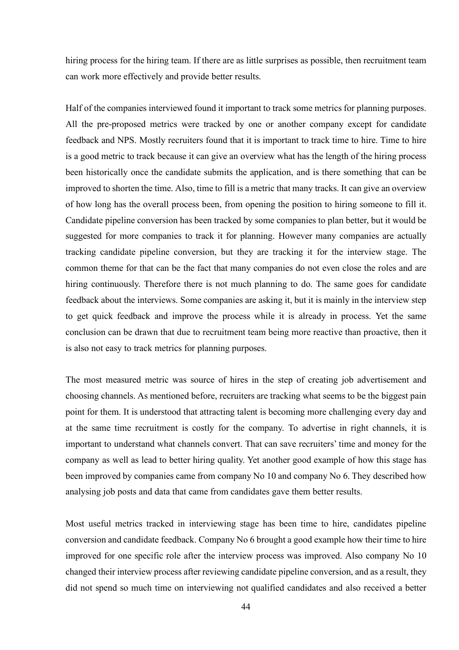hiring process for the hiring team. If there are as little surprises as possible, then recruitment team can work more effectively and provide better results.

Half of the companies interviewed found it important to track some metrics for planning purposes. All the pre-proposed metrics were tracked by one or another company except for candidate feedback and NPS. Mostly recruiters found that it is important to track time to hire. Time to hire is a good metric to track because it can give an overview what has the length of the hiring process been historically once the candidate submits the application, and is there something that can be improved to shorten the time. Also, time to fill is a metric that many tracks. It can give an overview of how long has the overall process been, from opening the position to hiring someone to fill it. Candidate pipeline conversion has been tracked by some companies to plan better, but it would be suggested for more companies to track it for planning. However many companies are actually tracking candidate pipeline conversion, but they are tracking it for the interview stage. The common theme for that can be the fact that many companies do not even close the roles and are hiring continuously. Therefore there is not much planning to do. The same goes for candidate feedback about the interviews. Some companies are asking it, but it is mainly in the interview step to get quick feedback and improve the process while it is already in process. Yet the same conclusion can be drawn that due to recruitment team being more reactive than proactive, then it is also not easy to track metrics for planning purposes.

The most measured metric was source of hires in the step of creating job advertisement and choosing channels. As mentioned before, recruiters are tracking what seems to be the biggest pain point for them. It is understood that attracting talent is becoming more challenging every day and at the same time recruitment is costly for the company. To advertise in right channels, it is important to understand what channels convert. That can save recruiters' time and money for the company as well as lead to better hiring quality. Yet another good example of how this stage has been improved by companies came from company No 10 and company No 6. They described how analysing job posts and data that came from candidates gave them better results.

Most useful metrics tracked in interviewing stage has been time to hire, candidates pipeline conversion and candidate feedback. Company No 6 brought a good example how their time to hire improved for one specific role after the interview process was improved. Also company No 10 changed their interview process after reviewing candidate pipeline conversion, and as a result, they did not spend so much time on interviewing not qualified candidates and also received a better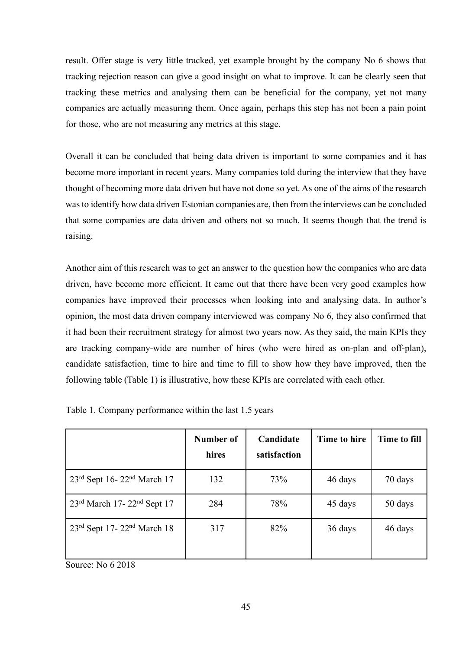result. Offer stage is very little tracked, yet example brought by the company No 6 shows that tracking rejection reason can give a good insight on what to improve. It can be clearly seen that tracking these metrics and analysing them can be beneficial for the company, yet not many companies are actually measuring them. Once again, perhaps this step has not been a pain point for those, who are not measuring any metrics at this stage.

Overall it can be concluded that being data driven is important to some companies and it has become more important in recent years. Many companies told during the interview that they have thought of becoming more data driven but have not done so yet. As one of the aims of the research was to identify how data driven Estonian companies are, then from the interviews can be concluded that some companies are data driven and others not so much. It seems though that the trend is raising.

Another aim of this research was to get an answer to the question how the companies who are data driven, have become more efficient. It came out that there have been very good examples how companies have improved their processes when looking into and analysing data. In author's opinion, the most data driven company interviewed was company No 6, they also confirmed that it had been their recruitment strategy for almost two years now. As they said, the main KPIs they are tracking company-wide are number of hires (who were hired as on-plan and off-plan), candidate satisfaction, time to hire and time to fill to show how they have improved, then the following table (Table 1) is illustrative, how these KPIs are correlated with each other.

|                                        | Number of<br>hires | Candidate<br>satisfaction | Time to hire | Time to fill |
|----------------------------------------|--------------------|---------------------------|--------------|--------------|
| 23rd Sept 16-22 <sup>nd</sup> March 17 | 132                | 73%                       | 46 days      | 70 days      |
| 23rd March 17-22 <sup>nd</sup> Sept 17 | 284                | 78%                       | 45 days      | 50 days      |
| 23rd Sept 17-22 <sup>nd</sup> March 18 | 317                | 82%                       | 36 days      | 46 days      |

Table 1. Company performance within the last 1.5 years

Source: No 6 2018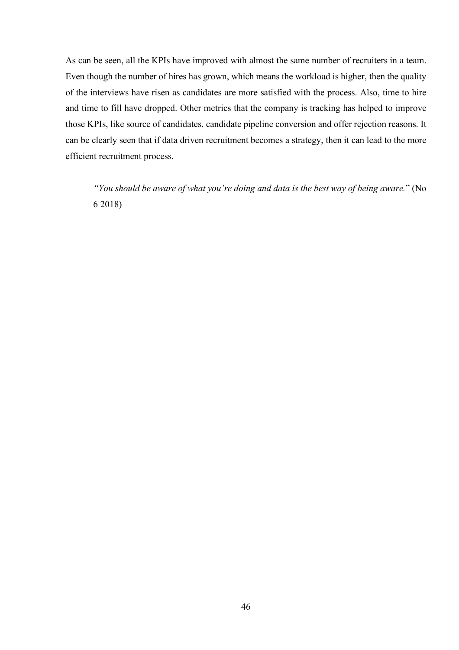As can be seen, all the KPIs have improved with almost the same number of recruiters in a team. Even though the number of hires has grown, which means the workload is higher, then the quality of the interviews have risen as candidates are more satisfied with the process. Also, time to hire and time to fill have dropped. Other metrics that the company is tracking has helped to improve those KPIs, like source of candidates, candidate pipeline conversion and offer rejection reasons. It can be clearly seen that if data driven recruitment becomes a strategy, then it can lead to the more efficient recruitment process.

*"You should be aware of what you're doing and data is the best way of being aware.*" (No 6 2018)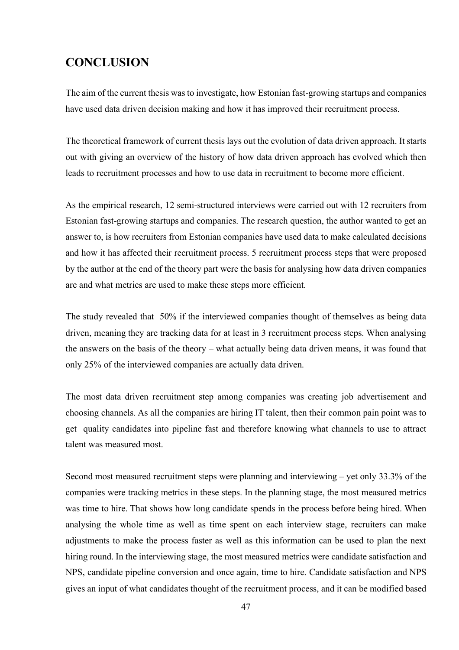# **CONCLUSION**

The aim of the current thesis was to investigate, how Estonian fast-growing startups and companies have used data driven decision making and how it has improved their recruitment process.

The theoretical framework of current thesis lays out the evolution of data driven approach. It starts out with giving an overview of the history of how data driven approach has evolved which then leads to recruitment processes and how to use data in recruitment to become more efficient.

As the empirical research, 12 semi-structured interviews were carried out with 12 recruiters from Estonian fast-growing startups and companies. The research question, the author wanted to get an answer to, is how recruiters from Estonian companies have used data to make calculated decisions and how it has affected their recruitment process. 5 recruitment process steps that were proposed by the author at the end of the theory part were the basis for analysing how data driven companies are and what metrics are used to make these steps more efficient.

The study revealed that 50% if the interviewed companies thought of themselves as being data driven, meaning they are tracking data for at least in 3 recruitment process steps. When analysing the answers on the basis of the theory – what actually being data driven means, it was found that only 25% of the interviewed companies are actually data driven.

The most data driven recruitment step among companies was creating job advertisement and choosing channels. As all the companies are hiring IT talent, then their common pain point was to get quality candidates into pipeline fast and therefore knowing what channels to use to attract talent was measured most.

Second most measured recruitment steps were planning and interviewing – yet only 33.3% of the companies were tracking metrics in these steps. In the planning stage, the most measured metrics was time to hire. That shows how long candidate spends in the process before being hired. When analysing the whole time as well as time spent on each interview stage, recruiters can make adjustments to make the process faster as well as this information can be used to plan the next hiring round. In the interviewing stage, the most measured metrics were candidate satisfaction and NPS, candidate pipeline conversion and once again, time to hire. Candidate satisfaction and NPS gives an input of what candidates thought of the recruitment process, and it can be modified based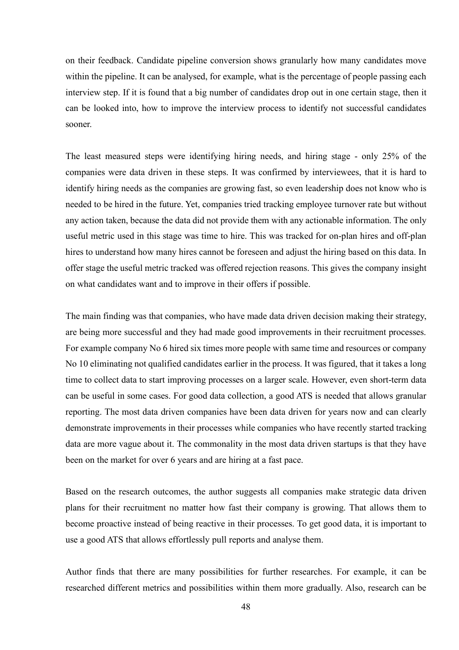on their feedback. Candidate pipeline conversion shows granularly how many candidates move within the pipeline. It can be analysed, for example, what is the percentage of people passing each interview step. If it is found that a big number of candidates drop out in one certain stage, then it can be looked into, how to improve the interview process to identify not successful candidates sooner.

The least measured steps were identifying hiring needs, and hiring stage - only 25% of the companies were data driven in these steps. It was confirmed by interviewees, that it is hard to identify hiring needs as the companies are growing fast, so even leadership does not know who is needed to be hired in the future. Yet, companies tried tracking employee turnover rate but without any action taken, because the data did not provide them with any actionable information. The only useful metric used in this stage was time to hire. This was tracked for on-plan hires and off-plan hires to understand how many hires cannot be foreseen and adjust the hiring based on this data. In offer stage the useful metric tracked was offered rejection reasons. This gives the company insight on what candidates want and to improve in their offers if possible.

The main finding was that companies, who have made data driven decision making their strategy, are being more successful and they had made good improvements in their recruitment processes. For example company No 6 hired six times more people with same time and resources or company No 10 eliminating not qualified candidates earlier in the process. It was figured, that it takes a long time to collect data to start improving processes on a larger scale. However, even short-term data can be useful in some cases. For good data collection, a good ATS is needed that allows granular reporting. The most data driven companies have been data driven for years now and can clearly demonstrate improvements in their processes while companies who have recently started tracking data are more vague about it. The commonality in the most data driven startups is that they have been on the market for over 6 years and are hiring at a fast pace.

Based on the research outcomes, the author suggests all companies make strategic data driven plans for their recruitment no matter how fast their company is growing. That allows them to become proactive instead of being reactive in their processes. To get good data, it is important to use a good ATS that allows effortlessly pull reports and analyse them.

Author finds that there are many possibilities for further researches. For example, it can be researched different metrics and possibilities within them more gradually. Also, research can be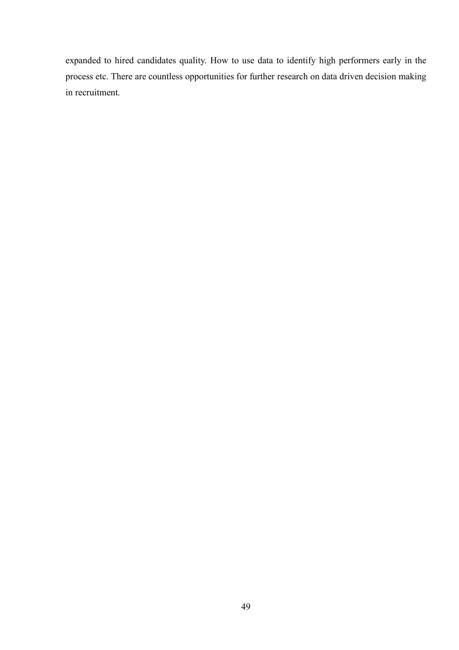expanded to hired candidates quality. How to use data to identify high performers early in the process etc. There are countless opportunities for further research on data driven decision making in recruitment.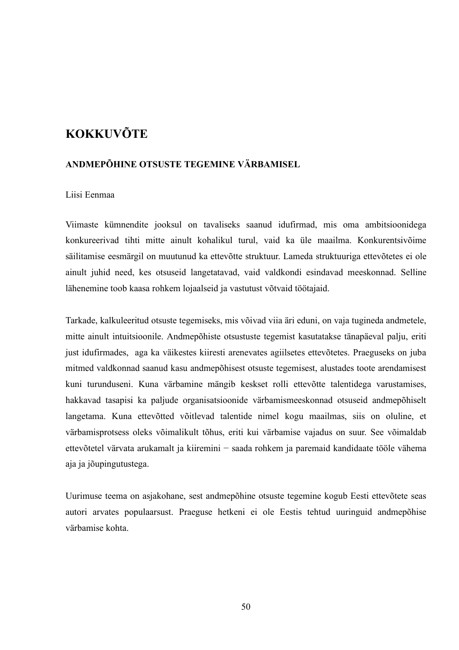# **KOKKUVÕTE**

## **ANDMEPÕHINE OTSUSTE TEGEMINE VÄRBAMISEL**

## Liisi Eenmaa

Viimaste kümnendite jooksul on tavaliseks saanud idufirmad, mis oma ambitsioonidega konkureerivad tihti mitte ainult kohalikul turul, vaid ka üle maailma. Konkurentsivõime säilitamise eesmärgil on muutunud ka ettevõtte struktuur. Lameda struktuuriga ettevõtetes ei ole ainult juhid need, kes otsuseid langetatavad, vaid valdkondi esindavad meeskonnad. Selline lähenemine toob kaasa rohkem lojaalseid ja vastutust võtvaid töötajaid.

Tarkade, kalkuleeritud otsuste tegemiseks, mis võivad viia äri eduni, on vaja tugineda andmetele, mitte ainult intuitsioonile. Andmepõhiste otsustuste tegemist kasutatakse tänapäeval palju, eriti just idufirmades, aga ka väikestes kiiresti arenevates agiilsetes ettevõtetes. Praeguseks on juba mitmed valdkonnad saanud kasu andmepõhisest otsuste tegemisest, alustades toote arendamisest kuni turunduseni. Kuna värbamine mängib keskset rolli ettevõtte talentidega varustamises, hakkavad tasapisi ka paljude organisatsioonide värbamismeeskonnad otsuseid andmepõhiselt langetama. Kuna ettevõtted võitlevad talentide nimel kogu maailmas, siis on oluline, et värbamisprotsess oleks võimalikult tõhus, eriti kui värbamise vajadus on suur. See võimaldab ettevõtetel värvata arukamalt ja kiiremini − saada rohkem ja paremaid kandidaate tööle vähema aja ja jõupingutustega.

Uurimuse teema on asjakohane, sest andmepõhine otsuste tegemine kogub Eesti ettevõtete seas autori arvates populaarsust. Praeguse hetkeni ei ole Eestis tehtud uuringuid andmepõhise värbamise kohta.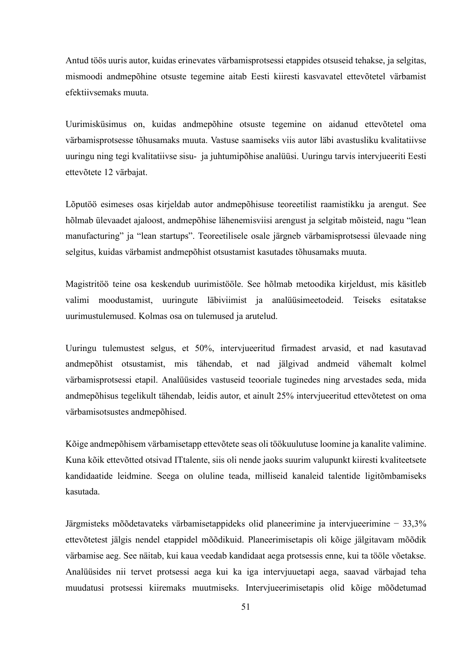Antud töös uuris autor, kuidas erinevates värbamisprotsessi etappides otsuseid tehakse, ja selgitas, mismoodi andmepõhine otsuste tegemine aitab Eesti kiiresti kasvavatel ettevõtetel värbamist efektiivsemaks muuta.

Uurimisküsimus on, kuidas andmepõhine otsuste tegemine on aidanud ettevõtetel oma värbamisprotsesse tõhusamaks muuta. Vastuse saamiseks viis autor läbi avastusliku kvalitatiivse uuringu ning tegi kvalitatiivse sisu- ja juhtumipõhise analüüsi. Uuringu tarvis intervjueeriti Eesti ettevõtete 12 värbajat.

Lõputöö esimeses osas kirjeldab autor andmepõhisuse teoreetilist raamistikku ja arengut. See hõlmab ülevaadet ajaloost, andmepõhise lähenemisviisi arengust ja selgitab mõisteid, nagu "lean manufacturing" ja "lean startups". Teoreetilisele osale järgneb värbamisprotsessi ülevaade ning selgitus, kuidas värbamist andmepõhist otsustamist kasutades tõhusamaks muuta.

Magistritöö teine osa keskendub uurimistööle. See hõlmab metoodika kirjeldust, mis käsitleb valimi moodustamist, uuringute läbiviimist ja analüüsimeetodeid. Teiseks esitatakse uurimustulemused. Kolmas osa on tulemused ja arutelud.

Uuringu tulemustest selgus, et 50%, intervjueeritud firmadest arvasid, et nad kasutavad andmepõhist otsustamist, mis tähendab, et nad jälgivad andmeid vähemalt kolmel värbamisprotsessi etapil. Analüüsides vastuseid teooriale tuginedes ning arvestades seda, mida andmepõhisus tegelikult tähendab, leidis autor, et ainult 25% intervjueeritud ettevõtetest on oma värbamisotsustes andmepõhised.

Kõige andmepõhisem värbamisetapp ettevõtete seas oli töökuulutuse loomine ja kanalite valimine. Kuna kõik ettevõtted otsivad ITtalente, siis oli nende jaoks suurim valupunkt kiiresti kvaliteetsete kandidaatide leidmine. Seega on oluline teada, milliseid kanaleid talentide ligitõmbamiseks kasutada.

Järgmisteks mõõdetavateks värbamisetappideks olid planeerimine ja intervjueerimine − 33,3% ettevõtetest jälgis nendel etappidel mõõdikuid. Planeerimisetapis oli kõige jälgitavam mõõdik värbamise aeg. See näitab, kui kaua veedab kandidaat aega protsessis enne, kui ta tööle võetakse. Analüüsides nii tervet protsessi aega kui ka iga intervjuuetapi aega, saavad värbajad teha muudatusi protsessi kiiremaks muutmiseks. Intervjueerimisetapis olid kõige mõõdetumad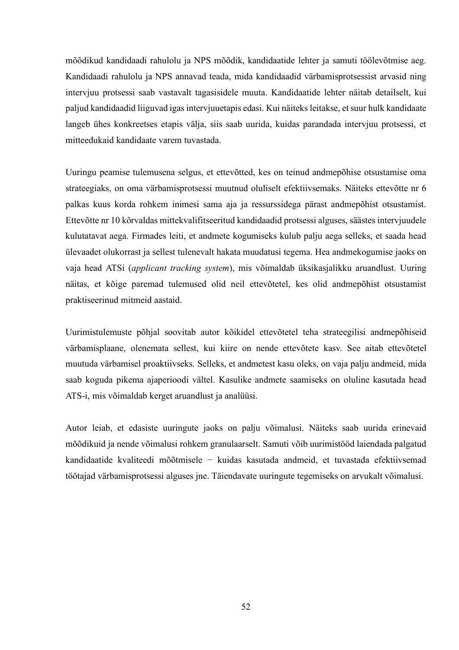mõõdikud kandidaadi rahulolu ja NPS mõõdik, kandidaatide lehter ja samuti töölevõtmise aeg. Kandidaadi rahulolu ja NPS annavad teada, mida kandidaadid värbamisprotsessist arvasid ning intervjuu protsessi saab vastavalt tagasisidele muuta. Kandidaatide lehter näitab detailselt, kui paljud kandidaadid liiguvad igas intervjuuetapis edasi. Kui näiteks leitakse, et suur hulk kandidaate langeb ühes konkreetses etapis välja, siis saab uurida, kuidas parandada intervjuu protsessi, et mitteedukaid kandidaate varem tuvastada.

Uuringu peamise tulemusena selgus, et ettevõtted, kes on teinud andmepõhise otsustamise oma strateegiaks, on oma värbamisprotsessi muutnud oluliselt efektiivsemaks. Näiteks ettevõtte nr 6 palkas kuus korda rohkem inimesi sama aja ja ressurssidega pärast andmepõhist otsustamist. Ettevõtte nr 10 kõrvaldas mittekvalifitseeritud kandidaadid protsessi alguses, säästes intervjuudele kulutatavat aega. Firmades leiti, et andmete kogumiseks kulub palju aega selleks, et saada head ülevaadet olukorrast ja sellest tulenevalt hakata muudatusi tegema. Hea andmekogumise jaoks on vaja head ATSi (*applicant tracking system*), mis võimaldab üksikasjalikku aruandlust. Uuring näitas, et kõige paremad tulemused olid neil ettevõtetel, kes olid andmepõhist otsustamist praktiseerinud mitmeid aastaid.

Uurimistulemuste põhjal soovitab autor kõikidel ettevõtetel teha strateegilisi andmepõhiseid värbamisplaane, olenemata sellest, kui kiire on nende ettevõtete kasv. See aitab ettevõtetel muutuda värbamisel proaktiivseks. Selleks, et andmetest kasu oleks, on vaja palju andmeid, mida saab koguda pikema ajaperioodi vältel. Kasulike andmete saamiseks on oluline kasutada head ATS-i, mis võimaldab kerget aruandlust ja analüüsi.

Autor leiab, et edasiste uuringute jaoks on palju võimalusi. Näiteks saab uurida erinevaid mõõdikuid ja nende võimalusi rohkem granulaarselt. Samuti võib uurimistööd laiendada palgatud kandidaatide kvaliteedi mõõtmisele − kuidas kasutada andmeid, et tuvastada efektiivsemad töötajad värbamisprotsessi alguses jne. Täiendavate uuringute tegemiseks on arvukalt võimalusi.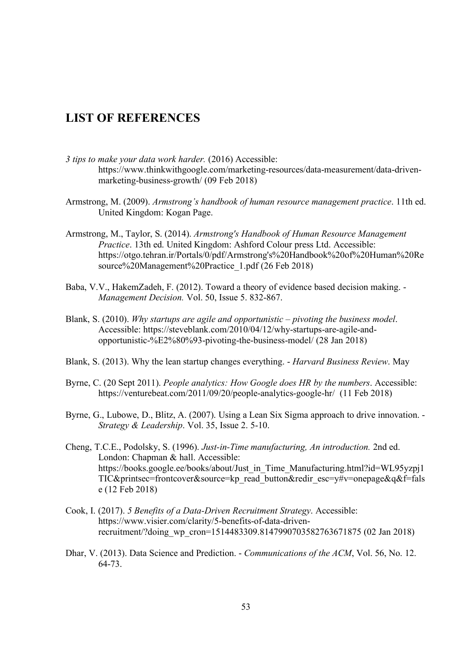## **LIST OF REFERENCES**

- *3 tips to make your data work harder.* (2016) Accessible: https://www.thinkwithgoogle.com/marketing-resources/data-measurement/data-drivenmarketing-business-growth/ (09 Feb 2018)
- Armstrong, M. (2009). *Armstrong's handbook of human resource management practice*. 11th ed. United Kingdom: Kogan Page.
- Armstrong, M., Taylor, S. (2014). *Armstrong's Handbook of Human Resource Management Practice*. 13th ed. United Kingdom: Ashford Colour press Ltd. Accessible: https://otgo.tehran.ir/Portals/0/pdf/Armstrong's%20Handbook%20of%20Human%20Re source%20Management%20Practice\_1.pdf (26 Feb 2018)
- Baba, V.V., HakemZadeh, F. (2012). Toward a theory of evidence based decision making. *Management Decision.* Vol. 50, Issue 5. 832-867.
- Blank, S. (2010). *Why startups are agile and opportunistic – pivoting the business model*. Accessible: https://steveblank.com/2010/04/12/why-startups-are-agile-andopportunistic-%E2%80%93-pivoting-the-business-model/ (28 Jan 2018)
- Blank, S. (2013). Why the lean startup changes everything. *Harvard Business Review*. May
- Byrne, C. (20 Sept 2011). *People analytics: How Google does HR by the numbers*. Accessible: https://venturebeat.com/2011/09/20/people-analytics-google-hr/ (11 Feb 2018)
- Byrne, G., Lubowe, D., Blitz, A. (2007). Using a Lean Six Sigma approach to drive innovation. *Strategy & Leadership*. Vol. 35, Issue 2. 5-10.
- Cheng, T.C.E., Podolsky, S. (1996). *Just-in-Time manufacturing, An introduction.* 2nd ed. London: Chapman & hall. Accessible: https://books.google.ee/books/about/Just\_in\_Time\_Manufacturing.html?id=WL95yzpj1 TIC&printsec=frontcover&source=kp\_read\_button&redir\_esc=y#v=onepage&q&f=fals e (12 Feb 2018)
- Cook, I. (2017). *5 Benefits of a Data-Driven Recruitment Strategy*. Accessible: https://www.visier.com/clarity/5-benefits-of-data-drivenrecruitment/?doing\_wp\_cron=1514483309.8147990703582763671875 (02 Jan 2018)
- Dhar, V. (2013). Data Science and Prediction. *Communications of the ACM*, Vol. 56, No. 12. 64-73.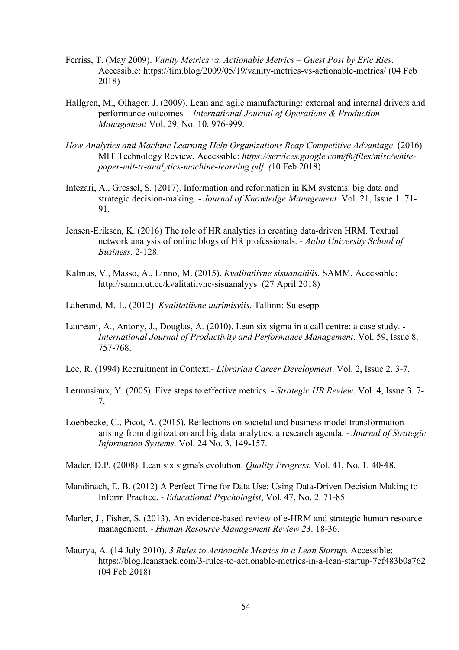- Ferriss, T. (May 2009). *Vanity Metrics vs. Actionable Metrics – Guest Post by Eric Ries*. Accessible: https://tim.blog/2009/05/19/vanity-metrics-vs-actionable-metrics/ (04 Feb 2018)
- Hallgren, M., Olhager, J. (2009). Lean and agile manufacturing: external and internal drivers and performance outcomes. - *International Journal of Operations & Production Management* Vol. 29, No. 10. 976-999.
- *How Analytics and Machine Learning Help Organizations Reap Competitive Advantage*. (2016) MIT Technology Review. Accessible: *https://services.google.com/fh/files/misc/whitepaper-mit-tr-analytics-machine-learning.pdf (*10 Feb 2018)
- Intezari, A., Gressel, S. (2017). Information and reformation in KM systems: big data and strategic decision-making. - *Journal of Knowledge Management*. Vol. 21, Issue 1. 71- 91.
- Jensen-Eriksen, K. (2016) The role of HR analytics in creating data-driven HRM. Textual network analysis of online blogs of HR professionals. - *Aalto University School of Business.* 2-128.
- Kalmus, V., Masso, A., Linno, M. (2015). *Kvalitatiivne sisuanalüüs*. SAMM. Accessible: http://samm.ut.ee/kvalitatiivne-sisuanalyys (27 April 2018)
- Laherand, M.-L. (2012). *Kvalitatiivne uurimisviis*. Tallinn: Sulesepp
- Laureani, A., Antony, J., Douglas, A. (2010). Lean six sigma in a call centre: a case study. *International Journal of Productivity and Performance Management*. Vol. 59, Issue 8. 757-768.
- Lee, R. (1994) Recruitment in Context.- *Librarian Career Development*. Vol. 2, Issue 2. 3-7.
- Lermusiaux, Y. (2005). Five steps to effective metrics. *Strategic HR Review*. Vol. 4, Issue 3. 7- 7.
- Loebbecke, C., Picot, A. (2015). Reflections on societal and business model transformation arising from digitization and big data analytics: a research agenda. - *Journal of Strategic Information Systems*. Vol. 24 No. 3. 149-157.
- Mader, D.P. (2008). Lean six sigma's evolution. *Quality Progress.* Vol. 41, No. 1. 40-48.
- Mandinach, E. B. (2012) A Perfect Time for Data Use: Using Data-Driven Decision Making to Inform Practice. - *Educational Psychologist*, Vol. 47, No. 2. 71-85.
- Marler, J., Fisher, S. (2013). An evidence-based review of e-HRM and strategic human resource management. - *Human Resource Management Review 23*. 18-36.
- Maurya, A. (14 July 2010). *3 Rules to Actionable Metrics in a Lean Startup*. Accessible: https://blog.leanstack.com/3-rules-to-actionable-metrics-in-a-lean-startup-7cf483b0a762 (04 Feb 2018)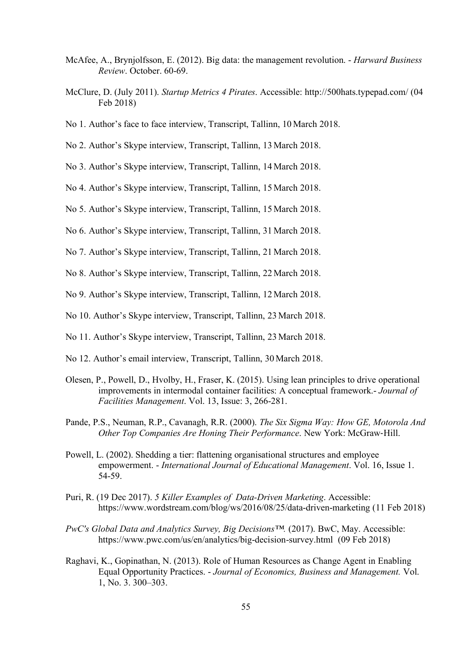- McAfee, A., Brynjolfsson, E. (2012). Big data: the management revolution. *Harward Business Review*. October. 60-69.
- McClure, D. (July 2011). *Startup Metrics 4 Pirates*. Accessible: http://500hats.typepad.com/ (04 Feb 2018)
- No 1. Author's face to face interview, Transcript, Tallinn, 10 March 2018.
- No 2. Author's Skype interview, Transcript, Tallinn, 13 March 2018.
- No 3. Author's Skype interview, Transcript, Tallinn, 14 March 2018.
- No 4. Author's Skype interview, Transcript, Tallinn, 15 March 2018.
- No 5. Author's Skype interview, Transcript, Tallinn, 15 March 2018.
- No 6. Author's Skype interview, Transcript, Tallinn, 31 March 2018.
- No 7. Author's Skype interview, Transcript, Tallinn, 21 March 2018.
- No 8. Author's Skype interview, Transcript, Tallinn, 22 March 2018.
- No 9. Author's Skype interview, Transcript, Tallinn, 12 March 2018.
- No 10. Author's Skype interview, Transcript, Tallinn, 23 March 2018.
- No 11. Author's Skype interview, Transcript, Tallinn, 23 March 2018.
- No 12. Author's email interview, Transcript, Tallinn, 30 March 2018.
- Olesen, P., Powell, D., Hvolby, H., Fraser, K. (2015). Using lean principles to drive operational improvements in intermodal container facilities: A conceptual framework.- *Journal of Facilities Management*. Vol. 13, Issue: 3, 266-281.
- Pande, P.S., Neuman, R.P., Cavanagh, R.R. (2000). *The Six Sigma Way: How GE, Motorola And Other Top Companies Are Honing Their Performance*. New York: McGraw-Hill.
- Powell, L. (2002). Shedding a tier: flattening organisational structures and employee empowerment. - *International Journal of Educational Management*. Vol. 16, Issue 1. 54-59.
- Puri, R. (19 Dec 2017). *5 Killer Examples of Data-Driven Marketing*. Accessible: https://www.wordstream.com/blog/ws/2016/08/25/data-driven-marketing (11 Feb 2018)
- *PwC's Global Data and Analytics Survey, Big Decisions™.* (2017). BwC, May. Accessible: https://www.pwc.com/us/en/analytics/big-decision-survey.html (09 Feb 2018)
- Raghavi, K., Gopinathan, N. (2013). Role of Human Resources as Change Agent in Enabling Equal Opportunity Practices. - *Journal of Economics, Business and Management.* Vol. 1, No. 3. 300–303.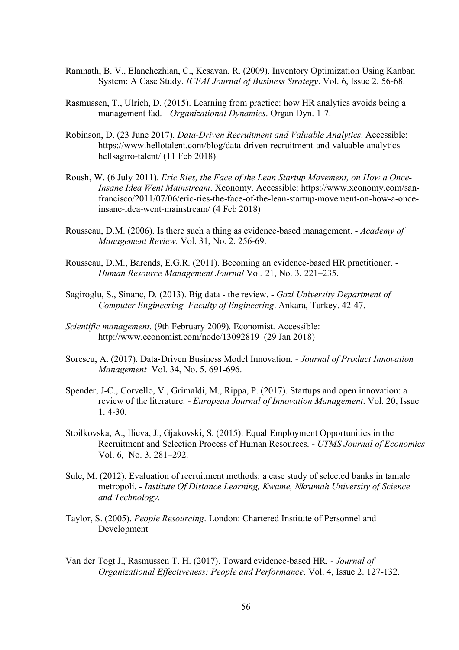- Ramnath, B. V., Elanchezhian, C., Kesavan, R. (2009). Inventory Optimization Using Kanban System: A Case Study. *ICFAI Journal of Business Strategy*. Vol. 6, Issue 2. 56-68.
- Rasmussen, T., Ulrich, D. (2015). Learning from practice: how HR analytics avoids being a management fad. - *Organizational Dynamics*. Organ Dyn. 1-7.
- Robinson, D. (23 June 2017). *Data-Driven Recruitment and Valuable Analytics*. Accessible: https://www.hellotalent.com/blog/data-driven-recruitment-and-valuable-analyticshellsagiro-talent/ (11 Feb 2018)
- Roush, W. (6 July 2011). *Eric Ries, the Face of the Lean Startup Movement, on How a Once-Insane Idea Went Mainstream*. Xconomy. Accessible: https://www.xconomy.com/sanfrancisco/2011/07/06/eric-ries-the-face-of-the-lean-startup-movement-on-how-a-onceinsane-idea-went-mainstream/ (4 Feb 2018)
- Rousseau, D.M. (2006). Is there such a thing as evidence-based management. *Academy of Management Review.* Vol. 31, No. 2. 256-69.
- Rousseau, D.M., Barends, E.G.R. (2011). Becoming an evidence-based HR practitioner. *Human Resource Management Journal* Vol*.* 21, No. 3. 221–235.
- Sagiroglu, S., Sinanc, D. (2013). Big data the review. *Gazi University Department of Computer Engineering, Faculty of Engineering*. Ankara, Turkey. 42-47.
- *Scientific management*. (9th February 2009). Economist. Accessible: http://www.economist.com/node/13092819 (29 Jan 2018)
- Sorescu, A. (2017). Data-Driven Business Model Innovation. *Journal of Product Innovation Management* Vol. 34, No. 5. 691-696.
- Spender, J-C., Corvello, V., Grimaldi, M., Rippa, P. (2017). Startups and open innovation: a review of the literature. - *European Journal of Innovation Management*. Vol. 20, Issue 1. 4-30.
- Stoilkovska, A., Ilieva, J., Gjakovski, S. (2015). Equal Employment Opportunities in the Recruitment and Selection Process of Human Resources. - *UTMS Journal of Economics* Vol. 6, No. 3. 281–292.
- Sule, M. (2012). Evaluation of recruitment methods: a case study of selected banks in tamale metropoli. - *Institute Of Distance Learning, Kwame, Nkrumah University of Science and Technology*.
- Taylor, S. (2005). *People Resourcing*. London: Chartered Institute of Personnel and Development
- Van der Togt J., Rasmussen T. H. (2017). Toward evidence-based HR. *Journal of Organizational Effectiveness: People and Performance*. Vol. 4, Issue 2. 127-132.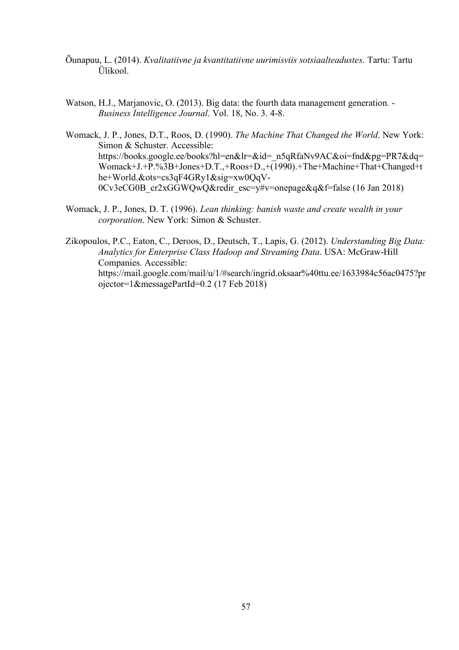- Õunapuu, L. (2014). *Kvalitatiivne ja kvantitatiivne uurimisviis sotsiaalteadustes*. Tartu: Tartu Ülikool.
- Watson, H.J., Marjanovic, O. (2013). Big data: the fourth data management generation. *Business Intelligence Journal*. Vol. 18, No. 3. 4-8.

Womack, J. P., Jones, D.T., Roos, D. (1990). *The Machine That Changed the World*. New York: Simon & Schuster. Accessible: https://books.google.ee/books?hl=en&lr=&id=\_n5qRfaNv9AC&oi=fnd&pg=PR7&dq= Womack+J.+P.%3B+Jones+D.T.,+Roos+D.,+(1990).+The+Machine+That+Changed+t he+World.&ots=cs3qF4GRy1&sig=xw0QqV-0Cv3eCG0B\_cr2xGGWQwQ&redir\_esc=y#v=onepage&q&f=false (16 Jan 2018)

Womack, J. P., Jones, D. T. (1996). *Lean thinking: banish waste and create wealth in your corporation*. New York: Simon & Schuster.

Zikopoulos, P.C., Eaton, C., Deroos, D., Deutsch, T., Lapis, G. (2012). *Understanding Big Data: Analytics for Enterprise Class Hadoop and Streaming Data*. USA: McGraw-Hill Companies. Accessible: https://mail.google.com/mail/u/1/#search/ingrid.oksaar%40ttu.ee/1633984c56ac0475?pr ojector=1&messagePartId=0.2 (17 Feb 2018)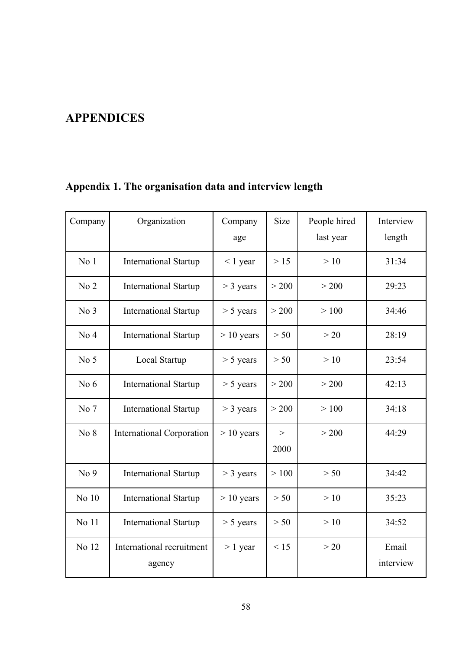# **APPENDICES**

| Company         | Organization                        | Company<br>age | Size      | People hired<br>last year | Interview<br>length |
|-----------------|-------------------------------------|----------------|-----------|---------------------------|---------------------|
| No <sub>1</sub> | <b>International Startup</b>        | $< 1$ year     | $>15$     | >10                       | 31:34               |
| No <sub>2</sub> | <b>International Startup</b>        | $>$ 3 years    | > 200     | > 200                     | 29:23               |
| No 3            | <b>International Startup</b>        | $> 5$ years    | > 200     | >100                      | 34:46               |
| No <sub>4</sub> | <b>International Startup</b>        | $> 10$ years   | > 50      | >20                       | 28:19               |
| No <sub>5</sub> | Local Startup                       | $> 5$ years    | > 50      | >10                       | 23:54               |
| No $6$          | <b>International Startup</b>        | $> 5$ years    | > 200     | > 200                     | 42:13               |
| No 7            | <b>International Startup</b>        | $>$ 3 years    | > 200     | >100                      | 34:18               |
| No 8            | <b>International Corporation</b>    | $> 10$ years   | ><br>2000 | > 200                     | 44:29               |
| No <sub>9</sub> | <b>International Startup</b>        | $>$ 3 years    | >100      | > 50                      | 34:42               |
| No 10           | <b>International Startup</b>        | $> 10$ years   | > 50      | >10                       | 35:23               |
| No 11           | <b>International Startup</b>        | $> 5$ years    | > 50      | >10                       | 34:52               |
| No 12           | International recruitment<br>agency | $> 1$ year     | < 15      | >20                       | Email<br>interview  |

# **Appendix 1. The organisation data and interview length**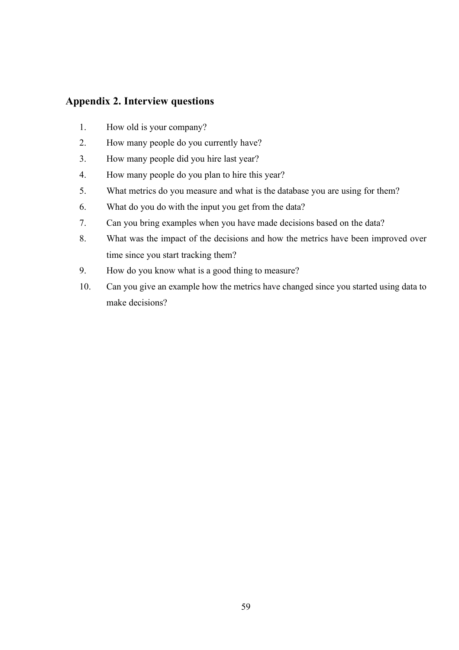## **Appendix 2. Interview questions**

- 1. How old is your company?
- 2. How many people do you currently have?
- 3. How many people did you hire last year?
- 4. How many people do you plan to hire this year?
- 5. What metrics do you measure and what is the database you are using for them?
- 6. What do you do with the input you get from the data?
- 7. Can you bring examples when you have made decisions based on the data?
- 8. What was the impact of the decisions and how the metrics have been improved over time since you start tracking them?
- 9. How do you know what is a good thing to measure?
- 10. Can you give an example how the metrics have changed since you started using data to make decisions?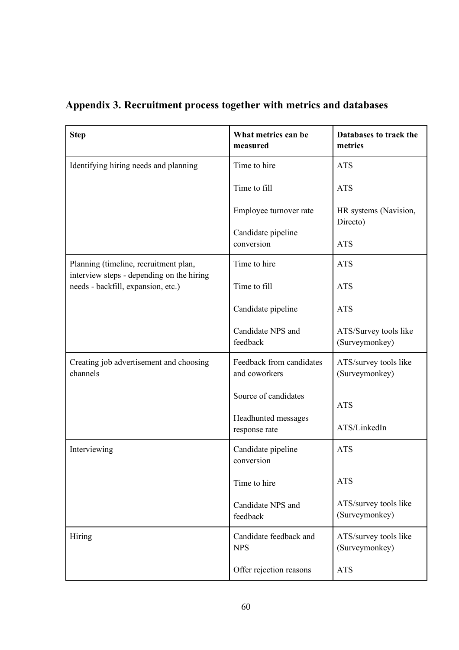| <b>Step</b>                                                                     | What metrics can be<br>measured           | Databases to track the<br>metrics       |
|---------------------------------------------------------------------------------|-------------------------------------------|-----------------------------------------|
| Identifying hiring needs and planning                                           | Time to hire                              | <b>ATS</b>                              |
|                                                                                 | Time to fill                              | <b>ATS</b>                              |
|                                                                                 | Employee turnover rate                    | HR systems (Navision,<br>Directo)       |
|                                                                                 | Candidate pipeline<br>conversion          | <b>ATS</b>                              |
| Planning (timeline, recruitment plan,                                           | Time to hire                              | <b>ATS</b>                              |
| interview steps - depending on the hiring<br>needs - backfill, expansion, etc.) | Time to fill                              | <b>ATS</b>                              |
|                                                                                 | Candidate pipeline                        | <b>ATS</b>                              |
|                                                                                 | Candidate NPS and<br>feedback             | ATS/Survey tools like<br>(Surveymonkey) |
| Creating job advertisement and choosing<br>channels                             | Feedback from candidates<br>and coworkers | ATS/survey tools like<br>(Surveymonkey) |
|                                                                                 | Source of candidates                      | <b>ATS</b>                              |
|                                                                                 | Headhunted messages<br>response rate      | ATS/LinkedIn                            |
| Interviewing                                                                    | Candidate pipeline<br>conversion          | <b>ATS</b>                              |
|                                                                                 | Time to hire                              | <b>ATS</b>                              |
|                                                                                 | Candidate NPS and<br>feedback             | ATS/survey tools like<br>(Surveymonkey) |
| Hiring                                                                          | Candidate feedback and<br><b>NPS</b>      | ATS/survey tools like<br>(Surveymonkey) |
|                                                                                 | Offer rejection reasons                   | <b>ATS</b>                              |

**Appendix 3. Recruitment process together with metrics and databases**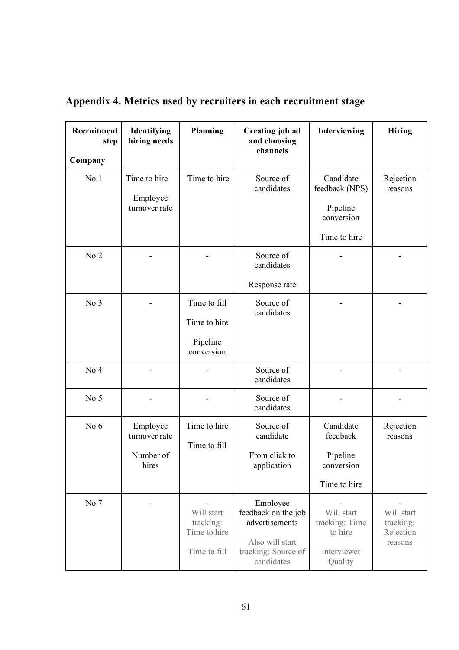| Recruitment<br>step<br>Company | Identifying<br>hiring needs                     | <b>Planning</b>                                         | <b>Creating job ad</b><br>and choosing<br>channels                                                        | Interviewing                                                          | <b>Hiring</b>                                   |
|--------------------------------|-------------------------------------------------|---------------------------------------------------------|-----------------------------------------------------------------------------------------------------------|-----------------------------------------------------------------------|-------------------------------------------------|
| No <sub>1</sub>                | Time to hire<br>Employee<br>turnover rate       | Time to hire                                            | Source of<br>candidates                                                                                   | Candidate<br>feedback (NPS)<br>Pipeline<br>conversion<br>Time to hire | Rejection<br>reasons                            |
| No 2                           |                                                 |                                                         | Source of<br>candidates<br>Response rate                                                                  |                                                                       |                                                 |
| No 3                           |                                                 | Time to fill<br>Time to hire<br>Pipeline<br>conversion  | Source of<br>candidates                                                                                   |                                                                       |                                                 |
| No <sub>4</sub>                |                                                 |                                                         | Source of<br>candidates                                                                                   |                                                                       |                                                 |
| No 5                           |                                                 |                                                         | Source of<br>candidates                                                                                   |                                                                       |                                                 |
| No $6$                         | Employee<br>turnover rate<br>Number of<br>hires | Time to hire<br>Time to fill                            | Source of<br>candidate<br>From click to<br>application                                                    | Candidate<br>feedback<br>Pipeline<br>conversion<br>Time to hire       | Rejection<br>reasons                            |
| No 7                           |                                                 | Will start<br>tracking:<br>Time to hire<br>Time to fill | Employee<br>feedback on the job<br>advertisements<br>Also will start<br>tracking: Source of<br>candidates | Will start<br>tracking: Time<br>to hire<br>Interviewer<br>Quality     | Will start<br>tracking:<br>Rejection<br>reasons |

# **Appendix 4. Metrics used by recruiters in each recruitment stage**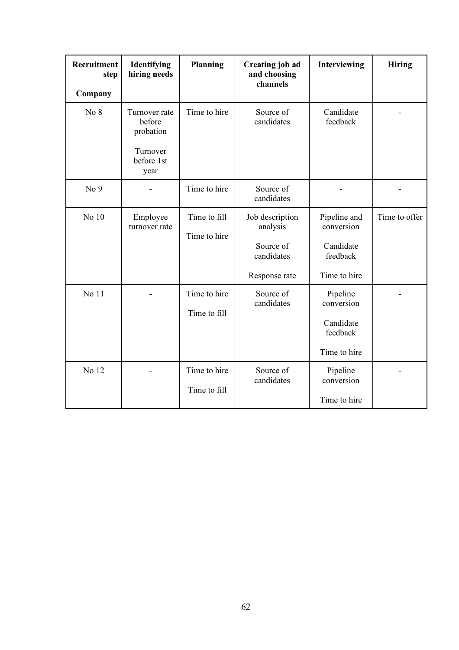| Recruitment<br>step<br>Company | Identifying<br>hiring needs                                            | <b>Planning</b>              | <b>Creating job ad</b><br>and choosing<br>channels                      | Interviewing                                                        | <b>Hiring</b> |
|--------------------------------|------------------------------------------------------------------------|------------------------------|-------------------------------------------------------------------------|---------------------------------------------------------------------|---------------|
| No 8                           | Turnover rate<br>before<br>probation<br>Turnover<br>before 1st<br>year | Time to hire                 | Source of<br>candidates                                                 | Candidate<br>feedback                                               |               |
| No <sub>9</sub>                |                                                                        | Time to hire                 | Source of<br>candidates                                                 |                                                                     |               |
| No 10                          | Employee<br>turnover rate                                              | Time to fill<br>Time to hire | Job description<br>analysis<br>Source of<br>candidates<br>Response rate | Pipeline and<br>conversion<br>Candidate<br>feedback<br>Time to hire | Time to offer |
| No 11                          |                                                                        | Time to hire<br>Time to fill | Source of<br>candidates                                                 | Pipeline<br>conversion<br>Candidate<br>feedback<br>Time to hire     |               |
| No 12                          |                                                                        | Time to hire<br>Time to fill | Source of<br>candidates                                                 | Pipeline<br>conversion<br>Time to hire                              |               |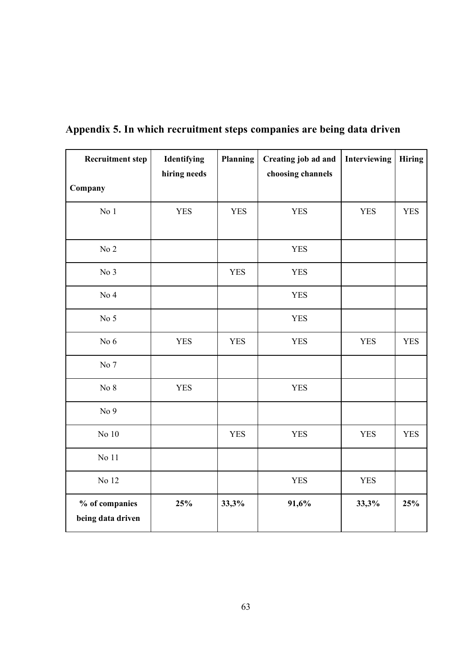| <b>Recruitment step</b>             | Identifying<br>hiring needs | Planning   | Creating job ad and<br>choosing channels | Interviewing | <b>Hiring</b> |
|-------------------------------------|-----------------------------|------------|------------------------------------------|--------------|---------------|
| Company                             |                             |            |                                          |              |               |
| No <sub>1</sub>                     | <b>YES</b>                  | <b>YES</b> | <b>YES</b>                               | <b>YES</b>   | <b>YES</b>    |
| No <sub>2</sub>                     |                             |            | <b>YES</b>                               |              |               |
| No 3                                |                             | <b>YES</b> | <b>YES</b>                               |              |               |
| No <sub>4</sub>                     |                             |            | <b>YES</b>                               |              |               |
| No $5$                              |                             |            | <b>YES</b>                               |              |               |
| No 6                                | <b>YES</b>                  | <b>YES</b> | <b>YES</b>                               | <b>YES</b>   | <b>YES</b>    |
| No 7                                |                             |            |                                          |              |               |
| No $8$                              | <b>YES</b>                  |            | <b>YES</b>                               |              |               |
| No 9                                |                             |            |                                          |              |               |
| No 10                               |                             | <b>YES</b> | <b>YES</b>                               | <b>YES</b>   | <b>YES</b>    |
| No $11$                             |                             |            |                                          |              |               |
| No 12                               |                             |            | <b>YES</b>                               | <b>YES</b>   |               |
| % of companies<br>being data driven | 25%                         | 33,3%      | 91,6%                                    | 33,3%        | 25%           |

# **Appendix 5. In which recruitment steps companies are being data driven**